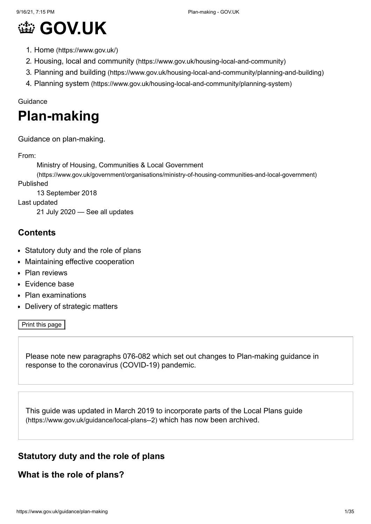# **@ [GOV.UK](https://www.gov.uk/)**

- 1. Home [\(https://www.gov.uk/\)](https://www.gov.uk/)
- 2. Housing, local and community [\(https://www.gov.uk/housing-local-and-community\)](https://www.gov.uk/housing-local-and-community)
- 3. Planning and building [\(https://www.gov.uk/housing-local-and-community/planning-and-building\)](https://www.gov.uk/housing-local-and-community/planning-and-building)
- 4. Planning system [\(https://www.gov.uk/housing-local-and-community/planning-system\)](https://www.gov.uk/housing-local-and-community/planning-system)

#### Guidance

# **Plan-making**

Guidance on plan-making.

From:

Ministry of Housing, Communities & Local Government

[\(https://www.gov.uk/government/organisations/ministry-of-housing-communities-and-local-government\)](https://www.gov.uk/government/organisations/ministry-of-housing-communities-and-local-government) Published

13 September 2018

Last updated

21 July 2020 — See all [updates](#page-33-0)

#### **Contents**

- [Statutory duty and the role of plans](#page-0-0)
- $\bullet$ [Maintaining effective cooperation](#page-4-0)
- [Plan reviews](#page-13-0)  $\bullet$
- [Evidence base](#page-17-0)
- [Plan examinations](#page-24-0)
- [Delivery of strategic matters](#page-28-0)

Print this page

Please note new [paragraphs 076-082](#page-29-0) which set out changes to Plan-making guidance in response to the coronavirus (COVID-19) pandemic.

[This guide was updated in March 2019 to incorporate parts of the Local Plans guide](https://www.gov.uk/guidance/local-plans--2) (https://www.gov.uk/guidance/local-plans--2) which has now been archived.

# <span id="page-0-0"></span>**Statutory duty and the role of plans**

#### **What is the role of plans?**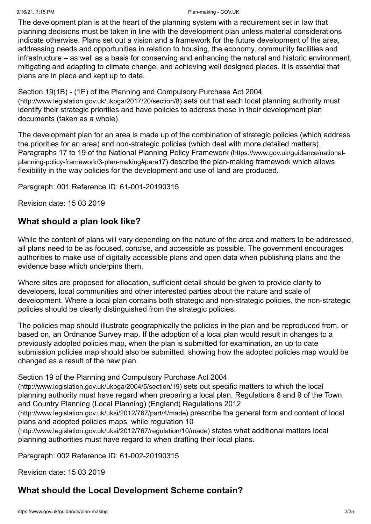#### 9/16/21, 7:15 PM Plan-making - GOV.UK

The development plan is at the heart of the planning system with a requirement set in law that planning decisions must be taken in line with the development plan unless material considerations indicate otherwise. Plans set out a vision and a framework for the future development of the area, addressing needs and opportunities in relation to housing, the economy, community facilities and infrastructure – as well as a basis for conserving and enhancing the natural and historic environment, mitigating and adapting to climate change, and achieving well designed places. It is essential that plans are in place and kept up to date.

[Section 19\(1B\) - \(1E\) of the Planning and Compulsory Purchase Act 2004](http://www.legislation.gov.uk/ukpga/2017/20/section/8) (http://www.legislation.gov.uk/ukpga/2017/20/section/8) sets out that each local planning authority must identify their strategic priorities and have policies to address these in their development plan documents (taken as a whole).

The development plan for an area is made up of the combination of strategic policies (which address the priorities for an area) and non-strategic policies (which deal with more detailed matters). [Paragraphs 17 to 19 of the National Planning Policy Framework](https://www.gov.uk/guidance/national-planning-policy-framework/3-plan-making#para17) (https://www.gov.uk/guidance/nationalplanning-policy-framework/3-plan-making#para17) describe the plan-making framework which allows flexibility in the way policies for the development and use of land are produced.

Paragraph: 001 Reference ID: 61-001-20190315

Revision date: 15 03 2019

#### **What should a plan look like?**

While the content of plans will vary depending on the nature of the area and matters to be addressed, all plans need to be as focused, concise, and accessible as possible. The government encourages authorities to make use of digitally accessible plans and open data when publishing plans and the evidence base which underpins them.

Where sites are proposed for allocation, sufficient detail should be given to provide clarity to developers, local communities and other interested parties about the nature and scale of development. Where a local plan contains both strategic and non-strategic policies, the non-strategic policies should be clearly distinguished from the strategic policies.

The policies map should illustrate geographically the policies in the plan and be reproduced from, or based on, an Ordnance Survey map. If the adoption of a local plan would result in changes to a previously adopted policies map, when the plan is submitted for examination, an up to date submission policies map should also be submitted, showing how the adopted policies map would be changed as a result of the new plan.

#### [Section 19 of the Planning and Compulsory Purchase Act 2004](http://www.legislation.gov.uk/ukpga/2004/5/section/19)

(http://www.legislation.gov.uk/ukpga/2004/5/section/19) sets out specific matters to which the local [planning authority must have regard when preparing a local plan. Regulations 8 and 9 of the Town](http://www.legislation.gov.uk/uksi/2012/767/part/4/made) and Country Planning (Local Planning) (England) Regulations 2012

(http://www.legislation.gov.uk/uksi/2012/767/part/4/made) prescribe the general form and content of local [plans and adopted policies maps, while regulation 10](http://www.legislation.gov.uk/uksi/2012/767/regulation/10/made)

(http://www.legislation.gov.uk/uksi/2012/767/regulation/10/made) states what additional matters local planning authorities must have regard to when drafting their local plans.

Paragraph: 002 Reference ID: 61-002-20190315

Revision date: 15 03 2019

# **What should the Local Development Scheme contain?**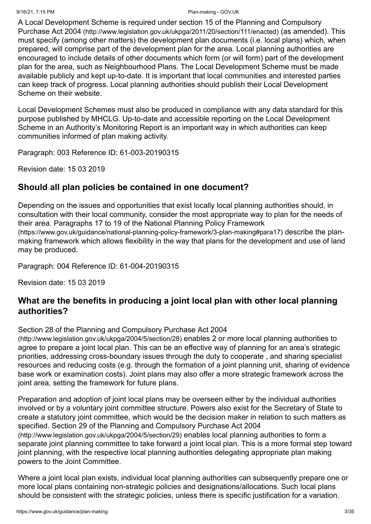#### 9/16/21, 7:15 PM Plan-making - GOV.UK

[A Local Development Scheme is required under section 15 of the Planning and Compulsory](http://www.legislation.gov.uk/ukpga/2011/20/section/111/enacted) Purchase Act 2004 (http://www.legislation.gov.uk/ukpga/2011/20/section/111/enacted) (as amended). This must specify (among other matters) the development plan documents (i.e. local plans) which, when prepared, will comprise part of the development plan for the area. Local planning authorities are encouraged to include details of other documents which form (or will form) part of the development plan for the area, such as Neighbourhood Plans. The Local Development Scheme must be made available publicly and kept up-to-date. It is important that local communities and interested parties can keep track of progress. Local planning authorities should publish their Local Development Scheme on their website.

Local Development Schemes must also be produced in compliance with any data standard for this purpose published by MHCLG. Up-to-date and accessible reporting on the Local Development Scheme in an Authority's Monitoring Report is an important way in which authorities can keep communities informed of plan making activity.

Paragraph: 003 Reference ID: 61-003-20190315

Revision date: 15 03 2019

# **Should all plan policies be contained in one document?**

Depending on the issues and opportunities that exist locally local planning authorities should, in consultation with their local community, consider the most appropriate way to plan for the needs of [their area. Paragraphs 17 to 19 of the National Planning Policy Framework](https://www.gov.uk/guidance/national-planning-policy-framework/3-plan-making#para17) (https://www.gov.uk/guidance/national-planning-policy-framework/3-plan-making#para17) describe the planmaking framework which allows flexibility in the way that plans for the development and use of land may be produced.

Paragraph: 004 Reference ID: 61-004-20190315

Revision date: 15 03 2019

# **What are the benefits in producing a joint local plan with other local planning authorities?**

[Section 28 of the Planning and Compulsory Purchase Act 2004](http://www.legislation.gov.uk/ukpga/2004/5/section/28)

(http://www.legislation.gov.uk/ukpga/2004/5/section/28) enables 2 or more local planning authorities to agree to prepare a joint local plan. This can be an effective way of planning for an area's strategic priorities, addressing cross-boundary issues through the duty to cooperate , and sharing specialist resources and reducing costs (e.g. through the formation of a joint planning unit, sharing of evidence base work or examination costs). Joint plans may also offer a more strategic framework across the joint area, setting the framework for future plans.

Preparation and adoption of joint local plans may be overseen either by the individual authorities involved or by a voluntary joint committee structure. Powers also exist for the Secretary of State to create a statutory joint committee, which would be the decision maker in relation to such matters as [specified. Section 29 of the Planning and Compulsory Purchase Act 2004](http://www.legislation.gov.uk/ukpga/2004/5/section/29) (http://www.legislation.gov.uk/ukpga/2004/5/section/29) enables local planning authorities to form a separate joint planning committee to take forward a joint local plan. This is a more formal step toward joint planning, with the respective local planning authorities delegating appropriate plan making powers to the Joint Committee.

Where a joint local plan exists, individual local planning authorities can subsequently prepare one or more local plans containing non-strategic policies and designations/allocations. Such local plans should be consistent with the strategic policies, unless there is specific justification for a variation.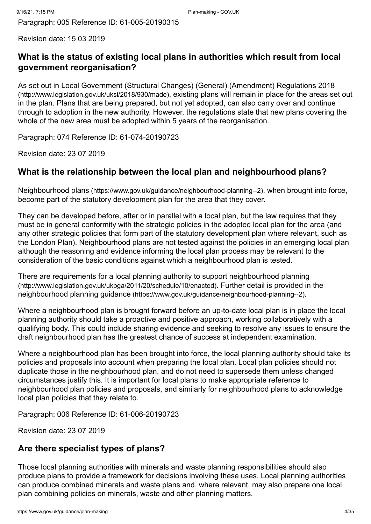Revision date: 15 03 2019

# **What is the status of existing local plans in authorities which result from local government reorganisation?**

[As set out in Local Government \(Structural Changes\) \(General\) \(Amendment\) Regulations 2018](http://www.legislation.gov.uk/uksi/2018/930/made) (http://www.legislation.gov.uk/uksi/2018/930/made), existing plans will remain in place for the areas set out in the plan. Plans that are being prepared, but not yet adopted, can also carry over and continue through to adoption in the new authority. However, the regulations state that new plans covering the whole of the new area must be adopted within 5 years of the reorganisation.

Paragraph: 074 Reference ID: 61-074-20190723

Revision date: 23 07 2019

# **What is the relationship between the local plan and neighbourhood plans?**

Neighbourhood plans [\(https://www.gov.uk/guidance/neighbourhood-planning--2\)](https://www.gov.uk/guidance/neighbourhood-planning--2), when brought into force, become part of the statutory development plan for the area that they cover.

They can be developed before, after or in parallel with a local plan, but the law requires that they must be in general conformity with the strategic policies in the adopted local plan for the area (and any other strategic policies that form part of the statutory development plan where relevant, such as the London Plan). Neighbourhood plans are not tested against the policies in an emerging local plan although the reasoning and evidence informing the local plan process may be relevant to the consideration of the basic conditions against which a neighbourhood plan is tested.

[There are requirements for a local planning authority to support neighbourhood planning](http://www.legislation.gov.uk/ukpga/2011/20/schedule/10/enacted) (http://www.legislation.gov.uk/ukpga/2011/20/schedule/10/enacted). Further detail is provided in the neighbourhood planning guidance [\(https://www.gov.uk/guidance/neighbourhood-planning--2\)](https://www.gov.uk/guidance/neighbourhood-planning--2).

Where a neighbourhood plan is brought forward before an up-to-date local plan is in place the local planning authority should take a proactive and positive approach, working collaboratively with a qualifying body. This could include sharing evidence and seeking to resolve any issues to ensure the draft neighbourhood plan has the greatest chance of success at independent examination.

Where a neighbourhood plan has been brought into force, the local planning authority should take its policies and proposals into account when preparing the local plan. Local plan policies should not duplicate those in the neighbourhood plan, and do not need to supersede them unless changed circumstances justify this. It is important for local plans to make appropriate reference to neighbourhood plan policies and proposals, and similarly for neighbourhood plans to acknowledge local plan policies that they relate to.

Paragraph: 006 Reference ID: 61-006-20190723

Revision date: 23 07 2019

# **Are there specialist types of plans?**

Those local planning authorities with minerals and waste planning responsibilities should also produce plans to provide a framework for decisions involving these uses. Local planning authorities can produce combined minerals and waste plans and, where relevant, may also prepare one local plan combining policies on minerals, waste and other planning matters.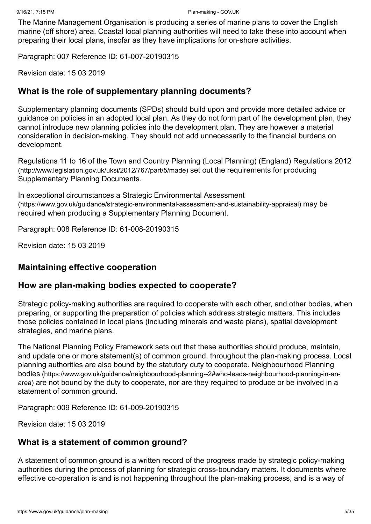The Marine Management Organisation is producing a series of marine plans to cover the English marine (off shore) area. Coastal local planning authorities will need to take these into account when preparing their local plans, insofar as they have implications for on-shore activities.

Paragraph: 007 Reference ID: 61-007-20190315

Revision date: 15 03 2019

#### **What is the role of supplementary planning documents?**

Supplementary planning documents (SPDs) should build upon and provide more detailed advice or guidance on policies in an adopted local plan. As they do not form part of the development plan, they cannot introduce new planning policies into the development plan. They are however a material consideration in decision-making. They should not add unnecessarily to the financial burdens on development.

[Regulations 11 to 16 of the Town and Country Planning \(Local Planning\) \(England\) Regulations 2012](http://www.legislation.gov.uk/uksi/2012/767/part/5/made) (http://www.legislation.gov.uk/uksi/2012/767/part/5/made) set out the requirements for producing Supplementary Planning Documents.

In exceptional circumstances a Strategic Environmental Assessment [\(https://www.gov.uk/guidance/strategic-environmental-assessment-and-sustainability-appraisal\)](https://www.gov.uk/guidance/strategic-environmental-assessment-and-sustainability-appraisal) may be required when producing a Supplementary Planning Document.

Paragraph: 008 Reference ID: 61-008-20190315

Revision date: 15 03 2019

#### <span id="page-4-0"></span>**Maintaining effective cooperation**

#### **How are plan-making bodies expected to cooperate?**

Strategic policy-making authorities are required to cooperate with each other, and other bodies, when preparing, or supporting the preparation of policies which address strategic matters. This includes those policies contained in local plans (including minerals and waste plans), spatial development strategies, and marine plans.

The National Planning Policy Framework sets out that these authorities should produce, maintain, and update one or more statement(s) of common ground, throughout the plan-making process. Local [planning authorities are also bound by the statutory duty to cooperate. Neighbourhood Planning](https://www.gov.uk/guidance/neighbourhood-planning--2#who-leads-neighbourhood-planning-in-an-area) bodies (https://www.gov.uk/guidance/neighbourhood-planning--2#who-leads-neighbourhood-planning-in-anarea) are not bound by the duty to cooperate, nor are they required to produce or be involved in a statement of common ground.

Paragraph: 009 Reference ID: 61-009-20190315

Revision date: 15 03 2019

#### **What is a statement of common ground?**

A statement of common ground is a written record of the progress made by strategic policy-making authorities during the process of planning for strategic cross-boundary matters. It documents where effective co-operation is and is not happening throughout the plan-making process, and is a way of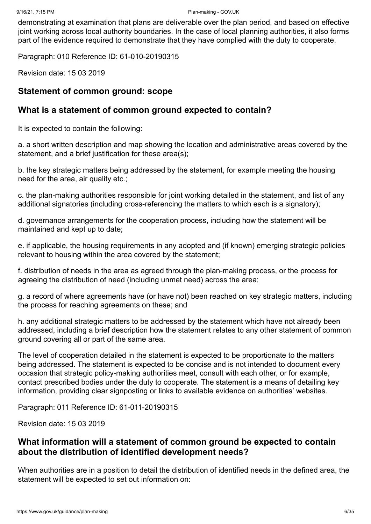demonstrating at examination that plans are deliverable over the plan period, and based on effective joint working across local authority boundaries. In the case of local planning authorities, it also forms part of the evidence required to demonstrate that they have complied with the duty to cooperate.

Paragraph: 010 Reference ID: 61-010-20190315

Revision date: 15 03 2019

#### **Statement of common ground: scope**

#### **What is a statement of common ground expected to contain?**

It is expected to contain the following:

a. a short written description and map showing the location and administrative areas covered by the statement, and a brief justification for these area(s):

b. the key strategic matters being addressed by the statement, for example meeting the housing need for the area, air quality etc.;

c. the plan-making authorities responsible for joint working detailed in the statement, and list of any additional signatories (including cross-referencing the matters to which each is a signatory);

d. governance arrangements for the cooperation process, including how the statement will be maintained and kept up to date;

e. if applicable, the housing requirements in any adopted and (if known) emerging strategic policies relevant to housing within the area covered by the statement;

f. distribution of needs in the area as agreed through the plan-making process, or the process for agreeing the distribution of need (including unmet need) across the area;

g. a record of where agreements have (or have not) been reached on key strategic matters, including the process for reaching agreements on these; and

h. any additional strategic matters to be addressed by the statement which have not already been addressed, including a brief description how the statement relates to any other statement of common ground covering all or part of the same area.

The level of cooperation detailed in the statement is expected to be proportionate to the matters being addressed. The statement is expected to be concise and is not intended to document every occasion that strategic policy-making authorities meet, consult with each other, or for example, contact prescribed bodies under the duty to cooperate. The statement is a means of detailing key information, providing clear signposting or links to available evidence on authorities' websites.

Paragraph: 011 Reference ID: 61-011-20190315

Revision date: 15 03 2019

#### **What information will a statement of common ground be expected to contain about the distribution of identified development needs?**

When authorities are in a position to detail the distribution of identified needs in the defined area, the statement will be expected to set out information on: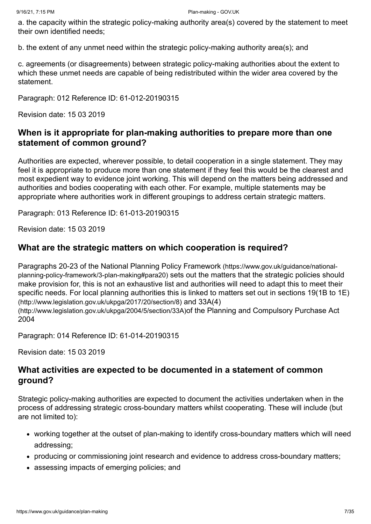a. the capacity within the strategic policy-making authority area(s) covered by the statement to meet their own identified needs;

b. the extent of any unmet need within the strategic policy-making authority area(s); and

c. agreements (or disagreements) between strategic policy-making authorities about the extent to which these unmet needs are capable of being redistributed within the wider area covered by the statement.

Paragraph: 012 Reference ID: 61-012-20190315

Revision date: 15 03 2019

#### **When is it appropriate for plan-making authorities to prepare more than one statement of common ground?**

Authorities are expected, wherever possible, to detail cooperation in a single statement. They may feel it is appropriate to produce more than one statement if they feel this would be the clearest and most expedient way to evidence joint working. This will depend on the matters being addressed and authorities and bodies cooperating with each other. For example, multiple statements may be appropriate where authorities work in different groupings to address certain strategic matters.

Paragraph: 013 Reference ID: 61-013-20190315

Revision date: 15 03 2019

#### **What are the strategic matters on which cooperation is required?**

[Paragraphs 20-23 of the National Planning Policy Framework](https://www.gov.uk/guidance/national-planning-policy-framework/3-plan-making#para20) (https://www.gov.uk/guidance/nationalplanning-policy-framework/3-plan-making#para20) sets out the matters that the strategic policies should make provision for, this is not an exhaustive list and authorities will need to adapt this to meet their [specific needs. For local planning authorities this is linked to matters set out in sections 19\(1B to 1E\)](http://www.legislation.gov.uk/ukpga/2017/20/section/8) (http://www.legislation.gov.uk/ukpga/2017/20/section/8) and 33A(4) [\(http://www.legislation.gov.uk/ukpga/2004/5/section/33A\)](http://www.legislation.gov.uk/ukpga/2004/5/section/33A)of the Planning and Compulsory Purchase Act 2004

Paragraph: 014 Reference ID: 61-014-20190315

Revision date: 15 03 2019

#### **What activities are expected to be documented in a statement of common ground?**

Strategic policy-making authorities are expected to document the activities undertaken when in the process of addressing strategic cross-boundary matters whilst cooperating. These will include (but are not limited to):

- working together at the outset of plan-making to identify cross-boundary matters which will need addressing;
- producing or commissioning joint research and evidence to address cross-boundary matters;
- assessing impacts of emerging policies; and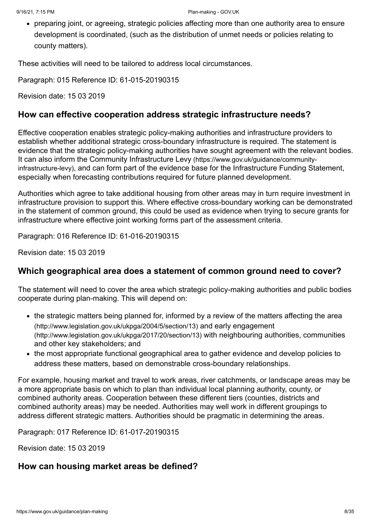preparing joint, or agreeing, strategic policies affecting more than one authority area to ensure development is coordinated, (such as the distribution of unmet needs or policies relating to county matters).

These activities will need to be tailored to address local circumstances.

Paragraph: 015 Reference ID: 61-015-20190315

Revision date: 15 03 2019

#### **How can effective cooperation address strategic infrastructure needs?**

Effective cooperation enables strategic policy-making authorities and infrastructure providers to establish whether additional strategic cross-boundary infrastructure is required. The statement is evidence that the strategic policy-making authorities have sought agreement with the relevant bodies. It can also inform the Community Infrastructure Levy (https://www.gov.uk/guidance/communityinfrastructure-levy)[, and can form part of the evidence base for the Infrastructure Funding Sta](https://www.gov.uk/guidance/community-infrastructure-levy)tement, especially when forecasting contributions required for future planned development.

Authorities which agree to take additional housing from other areas may in turn require investment in infrastructure provision to support this. Where effective cross-boundary working can be demonstrated in the statement of common ground, this could be used as evidence when trying to secure grants for infrastructure where effective joint working forms part of the assessment criteria.

Paragraph: 016 Reference ID: 61-016-20190315

Revision date: 15 03 2019

#### **Which geographical area does a statement of common ground need to cover?**

The statement will need to cover the area which strategic policy-making authorities and public bodies cooperate during plan-making. This will depend on:

- [the strategic matters being planned for, informed by a review of the matters affecting the area](http://www.legislation.gov.uk/ukpga/2004/5/section/13) (http://www.legislation.gov.uk/ukpga/2004/5/section/13) and early engagement [\(http://www.legislation.gov.uk/ukpga/2017/20/section/13\)](http://www.legislation.gov.uk/ukpga/2017/20/section/13) with neighbouring authorities, communities and other key stakeholders; and
- the most appropriate functional geographical area to gather evidence and develop policies to address these matters, based on demonstrable cross-boundary relationships.

For example, housing market and travel to work areas, river catchments, or landscape areas may be a more appropriate basis on which to plan than individual local planning authority, county, or combined authority areas. Cooperation between these different tiers (counties, districts and combined authority areas) may be needed. Authorities may well work in different groupings to address different strategic matters. Authorities should be pragmatic in determining the areas.

Paragraph: 017 Reference ID: 61-017-20190315

Revision date: 15 03 2019

#### **How can housing market areas be defined?**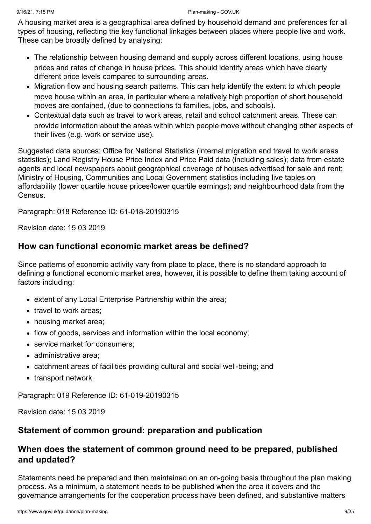A housing market area is a geographical area defined by household demand and preferences for all types of housing, reflecting the key functional linkages between places where people live and work. These can be broadly defined by analysing:

- The relationship between housing demand and supply across different locations, using house prices and rates of change in house prices. This should identify areas which have clearly different price levels compared to surrounding areas.
- Migration flow and housing search patterns. This can help identify the extent to which people move house within an area, in particular where a relatively high proportion of short household moves are contained, (due to connections to families, jobs, and schools).
- Contextual data such as travel to work areas, retail and school catchment areas. These can provide information about the areas within which people move without changing other aspects of their lives (e.g. work or service use).

Suggested data sources: Office for National Statistics (internal migration and travel to work areas statistics); Land Registry House Price Index and Price Paid data (including sales); data from estate agents and local newspapers about geographical coverage of houses advertised for sale and rent; Ministry of Housing, Communities and Local Government statistics including live tables on affordability (lower quartile house prices/lower quartile earnings); and neighbourhood data from the **Census**.

Paragraph: 018 Reference ID: 61-018-20190315

Revision date: 15 03 2019

#### **How can functional economic market areas be defined?**

Since patterns of economic activity vary from place to place, there is no standard approach to defining a functional economic market area, however, it is possible to define them taking account of factors including:

- extent of any Local Enterprise Partnership within the area;
- travel to work areas:
- housing market area;
- flow of goods, services and information within the local economy:
- service market for consumers:
- administrative area:
- catchment areas of facilities providing cultural and social well-being; and
- transport network.

Paragraph: 019 Reference ID: 61-019-20190315

Revision date: 15 03 2019

#### **Statement of common ground: preparation and publication**

#### **When does the statement of common ground need to be prepared, published and updated?**

Statements need be prepared and then maintained on an on-going basis throughout the plan making process. As a minimum, a statement needs to be published when the area it covers and the governance arrangements for the cooperation process have been defined, and substantive matters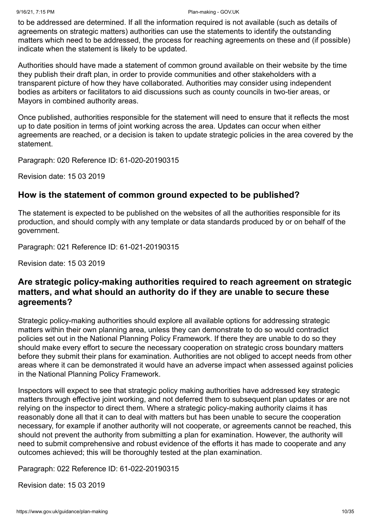to be addressed are determined. If all the information required is not available (such as details of agreements on strategic matters) authorities can use the statements to identify the outstanding matters which need to be addressed, the process for reaching agreements on these and (if possible) indicate when the statement is likely to be updated.

Authorities should have made a statement of common ground available on their website by the time they publish their draft plan, in order to provide communities and other stakeholders with a transparent picture of how they have collaborated. Authorities may consider using independent bodies as arbiters or facilitators to aid discussions such as county councils in two-tier areas, or Mayors in combined authority areas.

Once published, authorities responsible for the statement will need to ensure that it reflects the most up to date position in terms of joint working across the area. Updates can occur when either agreements are reached, or a decision is taken to update strategic policies in the area covered by the statement.

Paragraph: 020 Reference ID: 61-020-20190315

Revision date: 15 03 2019

# **How is the statement of common ground expected to be published?**

The statement is expected to be published on the websites of all the authorities responsible for its production, and should comply with any template or data standards produced by or on behalf of the government.

Paragraph: 021 Reference ID: 61-021-20190315

Revision date: 15 03 2019

# **Are strategic policy-making authorities required to reach agreement on strategic matters, and what should an authority do if they are unable to secure these agreements?**

Strategic policy-making authorities should explore all available options for addressing strategic matters within their own planning area, unless they can demonstrate to do so would contradict policies set out in the National Planning Policy Framework. If there they are unable to do so they should make every effort to secure the necessary cooperation on strategic cross boundary matters before they submit their plans for examination. Authorities are not obliged to accept needs from other areas where it can be demonstrated it would have an adverse impact when assessed against policies in the National Planning Policy Framework.

Inspectors will expect to see that strategic policy making authorities have addressed key strategic matters through effective joint working, and not deferred them to subsequent plan updates or are not relying on the inspector to direct them. Where a strategic policy-making authority claims it has reasonably done all that it can to deal with matters but has been unable to secure the cooperation necessary, for example if another authority will not cooperate, or agreements cannot be reached, this should not prevent the authority from submitting a plan for examination. However, the authority will need to submit comprehensive and robust evidence of the efforts it has made to cooperate and any outcomes achieved; this will be thoroughly tested at the plan examination.

Paragraph: 022 Reference ID: 61-022-20190315

Revision date: 15 03 2019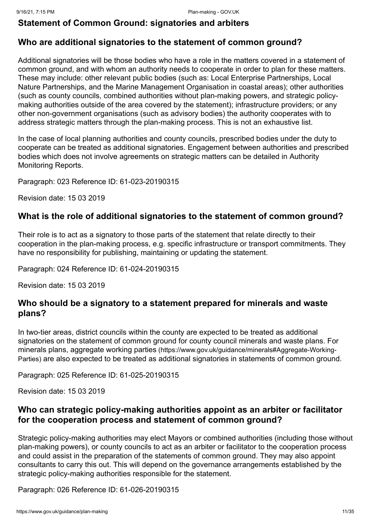#### **Statement of Common Ground: signatories and arbiters**

#### **Who are additional signatories to the statement of common ground?**

Additional signatories will be those bodies who have a role in the matters covered in a statement of common ground, and with whom an authority needs to cooperate in order to plan for these matters. These may include: other relevant public bodies (such as: Local Enterprise Partnerships, Local Nature Partnerships, and the Marine Management Organisation in coastal areas); other authorities (such as county councils, combined authorities without plan-making powers, and strategic policymaking authorities outside of the area covered by the statement); infrastructure providers; or any other non-government organisations (such as advisory bodies) the authority cooperates with to address strategic matters through the plan-making process. This is not an exhaustive list.

In the case of local planning authorities and county councils, prescribed bodies under the duty to cooperate can be treated as additional signatories. Engagement between authorities and prescribed bodies which does not involve agreements on strategic matters can be detailed in Authority Monitoring Reports.

Paragraph: 023 Reference ID: 61-023-20190315

Revision date: 15 03 2019

#### **What is the role of additional signatories to the statement of common ground?**

Their role is to act as a signatory to those parts of the statement that relate directly to their cooperation in the plan-making process, e.g. specific infrastructure or transport commitments. They have no responsibility for publishing, maintaining or updating the statement.

Paragraph: 024 Reference ID: 61-024-20190315

Revision date: 15 03 2019

#### **Who should be a signatory to a statement prepared for minerals and waste plans?**

In two-tier areas, district councils within the county are expected to be treated as additional signatories on the statement of common ground for county council minerals and waste plans. For minerals plans, aggregate working parties (https://www.gov.uk/guidance/minerals#Aggregate-Working-Parties) [are also expected to be treated as additional signatories in statements of common ground](https://www.gov.uk/guidance/minerals#Aggregate-Working-Parties).

Paragraph: 025 Reference ID: 61-025-20190315

Revision date: 15 03 2019

#### **Who can strategic policy-making authorities appoint as an arbiter or facilitator for the cooperation process and statement of common ground?**

Strategic policy-making authorities may elect Mayors or combined authorities (including those without plan-making powers), or county councils to act as an arbiter or facilitator to the cooperation process and could assist in the preparation of the statements of common ground. They may also appoint consultants to carry this out. This will depend on the governance arrangements established by the strategic policy-making authorities responsible for the statement.

Paragraph: 026 Reference ID: 61-026-20190315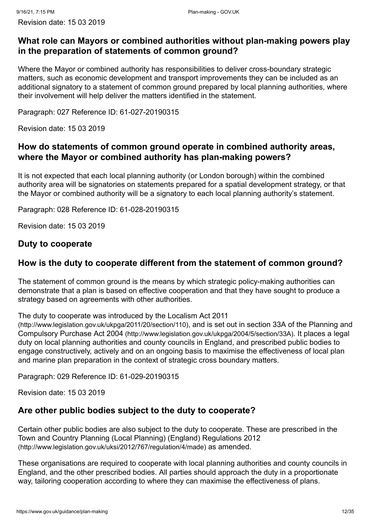#### **What role can Mayors or combined authorities without plan-making powers play in the preparation of statements of common ground?**

Where the Mayor or combined authority has responsibilities to deliver cross-boundary strategic matters, such as economic development and transport improvements they can be included as an additional signatory to a statement of common ground prepared by local planning authorities, where their involvement will help deliver the matters identified in the statement.

Paragraph: 027 Reference ID: 61-027-20190315

Revision date: 15 03 2019

# **How do statements of common ground operate in combined authority areas, where the Mayor or combined authority has plan-making powers?**

It is not expected that each local planning authority (or London borough) within the combined authority area will be signatories on statements prepared for a spatial development strategy, or that the Mayor or combined authority will be a signatory to each local planning authority's statement.

Paragraph: 028 Reference ID: 61-028-20190315

Revision date: 15 03 2019

# **Duty to cooperate**

# **How is the duty to cooperate different from the statement of common ground?**

The statement of common ground is the means by which strategic policy-making authorities can demonstrate that a plan is based on effective cooperation and that they have sought to produce a strategy based on agreements with other authorities.

[The duty to cooperate was introduced by the Localism Act 2011](http://www.legislation.gov.uk/ukpga/2011/20/section/110)

(http://www.legislation.gov.uk/ukpga/2011/20/section/110)[, and is set out in section 33A of the Planning and](http://www.legislation.gov.uk/ukpga/2004/5/section/33A) Compulsory Purchase Act 2004 (http://www.legislation.gov.uk/ukpga/2004/5/section/33A). It places a legal duty on local planning authorities and county councils in England, and prescribed public bodies to engage constructively, actively and on an ongoing basis to maximise the effectiveness of local plan and marine plan preparation in the context of strategic cross boundary matters.

Paragraph: 029 Reference ID: 61-029-20190315

Revision date: 15 03 2019

# **Are other public bodies subject to the duty to cooperate?**

Certain other public bodies are also subject to the duty to cooperate. These are prescribed in the [Town and Country Planning \(Local Planning\) \(England\) Regulations 2012](http://www.legislation.gov.uk/uksi/2012/767/regulation/4/made) (http://www.legislation.gov.uk/uksi/2012/767/regulation/4/made) as amended.

These organisations are required to cooperate with local planning authorities and county councils in England, and the other prescribed bodies. All parties should approach the duty in a proportionate way, tailoring cooperation according to where they can maximise the effectiveness of plans.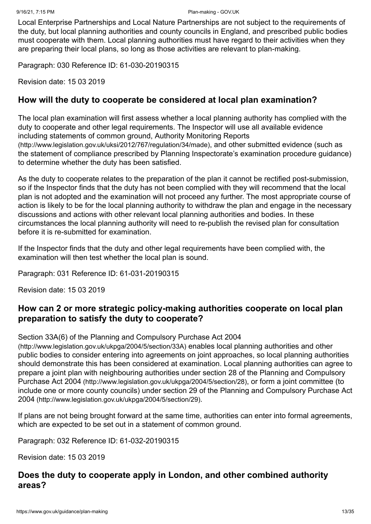Local Enterprise Partnerships and Local Nature Partnerships are not subject to the requirements of the duty, but local planning authorities and county councils in England, and prescribed public bodies must cooperate with them. Local planning authorities must have regard to their activities when they are preparing their local plans, so long as those activities are relevant to plan-making.

Paragraph: 030 Reference ID: 61-030-20190315

Revision date: 15 03 2019

#### **How will the duty to cooperate be considered at local plan examination?**

The local plan examination will first assess whether a local planning authority has complied with the duty to cooperate and other legal requirements. The Inspector will use all available evidence [including statements of common ground, Authority Monitoring Reports](http://www.legislation.gov.uk/uksi/2012/767/regulation/34/made) (http://www.legislation.gov.uk/uksi/2012/767/regulation/34/made), and other submitted evidence (such as the statement of compliance prescribed by Planning Inspectorate's examination procedure guidance) to determine whether the duty has been satisfied.

As the duty to cooperate relates to the preparation of the plan it cannot be rectified post-submission, so if the Inspector finds that the duty has not been complied with they will recommend that the local plan is not adopted and the examination will not proceed any further. The most appropriate course of action is likely to be for the local planning authority to withdraw the plan and engage in the necessary discussions and actions with other relevant local planning authorities and bodies. In these circumstances the local planning authority will need to re-publish the revised plan for consultation before it is re-submitted for examination.

If the Inspector finds that the duty and other legal requirements have been complied with, the examination will then test whether the local plan is sound.

Paragraph: 031 Reference ID: 61-031-20190315

Revision date: 15 03 2019

#### **How can 2 or more strategic policy-making authorities cooperate on local plan preparation to satisfy the duty to cooperate?**

[Section 33A\(6\) of the Planning and Compulsory Purchase Act 2004](http://www.legislation.gov.uk/ukpga/2004/5/section/33A)

(http://www.legislation.gov.uk/ukpga/2004/5/section/33A) enables local planning authorities and other public bodies to consider entering into agreements on joint approaches, so local planning authorities should demonstrate this has been considered at examination. Local planning authorities can agree to [prepare a joint plan with neighbouring authorities under section 28 of the Planning and Compulsory](http://www.legislation.gov.uk/ukpga/2004/5/section/28) Purchase Act 2004 (http://www.legislation.gov.uk/ukpga/2004/5/section/28), or form a joint committee (to [include one or more county councils\) under section 29 of the Planning and Compulsory Purchase Act](http://www.legislation.gov.uk/ukpga/2004/5/section/29) 2004 (http://www.legislation.gov.uk/ukpga/2004/5/section/29).

If plans are not being brought forward at the same time, authorities can enter into formal agreements, which are expected to be set out in a statement of common ground.

Paragraph: 032 Reference ID: 61-032-20190315

Revision date: 15 03 2019

#### **Does the duty to cooperate apply in London, and other combined authority areas?**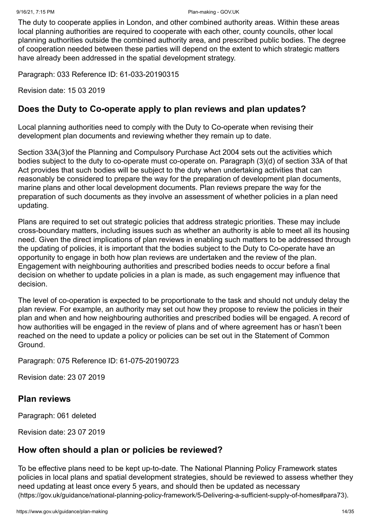The duty to cooperate applies in London, and other combined authority areas. Within these areas local planning authorities are required to cooperate with each other, county councils, other local planning authorities outside the combined authority area, and prescribed public bodies. The degree of cooperation needed between these parties will depend on the extent to which strategic matters have already been addressed in the spatial development strategy.

Paragraph: 033 Reference ID: 61-033-20190315

Revision date: 15 03 2019

#### **Does the Duty to Co-operate apply to plan reviews and plan updates?**

Local planning authorities need to comply with the Duty to Co-operate when revising their development plan documents and reviewing whether they remain up to date.

Section 33A(3)of the Planning and Compulsory Purchase Act 2004 sets out the activities which bodies subject to the duty to co-operate must co-operate on. Paragraph (3)(d) of section 33A of that Act provides that such bodies will be subject to the duty when undertaking activities that can reasonably be considered to prepare the way for the preparation of development plan documents, marine plans and other local development documents. Plan reviews prepare the way for the preparation of such documents as they involve an assessment of whether policies in a plan need updating.

Plans are required to set out strategic policies that address strategic priorities. These may include cross-boundary matters, including issues such as whether an authority is able to meet all its housing need. Given the direct implications of plan reviews in enabling such matters to be addressed through the updating of policies, it is important that the bodies subject to the Duty to Co-operate have an opportunity to engage in both how plan reviews are undertaken and the review of the plan. Engagement with neighbouring authorities and prescribed bodies needs to occur before a final decision on whether to update policies in a plan is made, as such engagement may influence that decision.

The level of co-operation is expected to be proportionate to the task and should not unduly delay the plan review. For example, an authority may set out how they propose to review the policies in their plan and when and how neighbouring authorities and prescribed bodies will be engaged. A record of how authorities will be engaged in the review of plans and of where agreement has or hasn't been reached on the need to update a policy or policies can be set out in the Statement of Common Ground.

Paragraph: 075 Reference ID: 61-075-20190723

Revision date: 23 07 2019

#### <span id="page-13-0"></span>**Plan reviews**

Paragraph: 061 deleted

Revision date: 23 07 2019

# **How often should a plan or policies be reviewed?**

To be effective plans need to be kept up-to-date. The National Planning Policy Framework states policies in local plans and spatial development strategies, should be reviewed to assess whether they need updating at least once every 5 years, and should then be updated as necessary [\(https://gov.uk/guidance/national-planning-policy-framework/5-Delivering-a-sufficient-supply-of-homes#para73\)](https://gov.uk/guidance/national-planning-policy-framework/5-Delivering-a-sufficient-supply-of-homes#para73).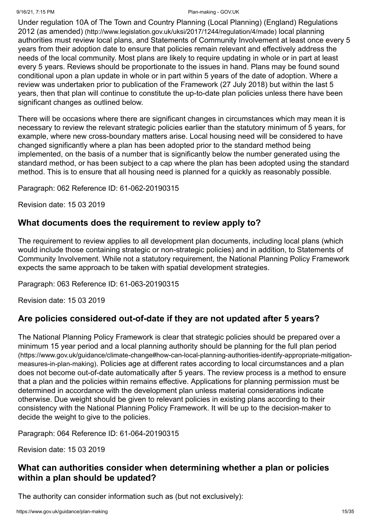#### 9/16/21, 7:15 PM Plan-making - GOV.UK

[Under regulation 10A of The Town and Country Planning \(Local Planning\) \(England\) Regulations](http://www.legislation.gov.uk/uksi/2017/1244/regulation/4/made) 2012 (as amended) (http://www.legislation.gov.uk/uksi/2017/1244/regulation/4/made) local planning authorities must review local plans, and Statements of Community Involvement at least once every 5 years from their adoption date to ensure that policies remain relevant and effectively address the needs of the local community. Most plans are likely to require updating in whole or in part at least every 5 years. Reviews should be proportionate to the issues in hand. Plans may be found sound conditional upon a plan update in whole or in part within 5 years of the date of adoption. Where a review was undertaken prior to publication of the Framework (27 July 2018) but within the last 5 years, then that plan will continue to constitute the up-to-date plan policies unless there have been significant changes as outlined below.

There will be occasions where there are significant changes in circumstances which may mean it is necessary to review the relevant strategic policies earlier than the statutory minimum of 5 years, for example, where new cross-boundary matters arise. Local housing need will be considered to have changed significantly where a plan has been adopted prior to the standard method being implemented, on the basis of a number that is significantly below the number generated using the standard method, or has been subject to a cap where the plan has been adopted using the standard method. This is to ensure that all housing need is planned for a quickly as reasonably possible.

Paragraph: 062 Reference ID: 61-062-20190315

Revision date: 15 03 2019

#### **What documents does the requirement to review apply to?**

The requirement to review applies to all development plan documents, including local plans (which would include those containing strategic or non-strategic policies) and in addition, to Statements of Community Involvement. While not a statutory requirement, the National Planning Policy Framework expects the same approach to be taken with spatial development strategies.

Paragraph: 063 Reference ID: 61-063-20190315

Revision date: 15 03 2019

#### **Are policies considered out-of-date if they are not updated after 5 years?**

The National Planning Policy Framework is clear that strategic policies should be prepared over a [minimum 15 year period and a local planning authority should be planning for the full plan period](https://www.gov.uk/guidance/climate-change#how-can-local-planning-authorities-identify-appropriate-mitigation-measures-in-plan-making) (https://www.gov.uk/guidance/climate-change#how-can-local-planning-authorities-identify-appropriate-mitigationmeasures-in-plan-making). Policies age at different rates according to local circumstances and a plan does not become out-of-date automatically after 5 years. The review process is a method to ensure that a plan and the policies within remains effective. Applications for planning permission must be determined in accordance with the development plan unless material considerations indicate otherwise. Due weight should be given to relevant policies in existing plans according to their consistency with the National Planning Policy Framework. It will be up to the decision-maker to decide the weight to give to the policies.

Paragraph: 064 Reference ID: 61-064-20190315

Revision date: 15 03 2019

#### **What can authorities consider when determining whether a plan or policies within a plan should be updated?**

The authority can consider information such as (but not exclusively):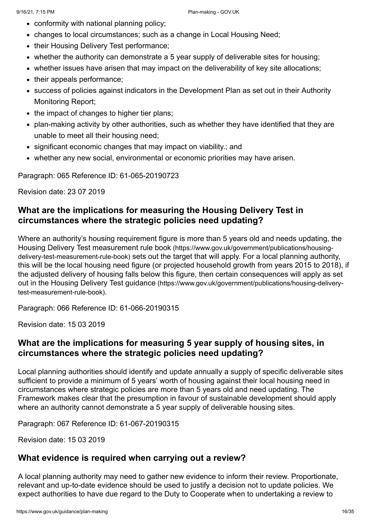- conformity with national planning policy;
- changes to local circumstances; such as a change in Local Housing Need;
- their Housing Delivery Test performance;
- whether the authority can demonstrate a 5 year supply of deliverable sites for housing;
- whether issues have arisen that may impact on the deliverability of key site allocations;
- their appeals performance;
- success of policies against indicators in the Development Plan as set out in their Authority Monitoring Report;
- the impact of changes to higher tier plans;
- plan-making activity by other authorities, such as whether they have identified that they are unable to meet all their housing need;
- significant economic changes that may impact on viability.; and
- whether any new social, environmental or economic priorities may have arisen.

Paragraph: 065 Reference ID: 61-065-20190723

Revision date: 23 07 2019

#### **What are the implications for measuring the Housing Delivery Test in circumstances where the strategic policies need updating?**

Where an authority's housing requirement figure is more than 5 years old and needs updating, the Housing Delivery Test measurement rule book (https://www.gov.uk/government/publications/housingdelivery-test-measurement-rule-book) [sets out the target that will apply. For a local planning authorit](https://www.gov.uk/government/publications/housing-delivery-test-measurement-rule-book)y, this will be the local housing need figure (or projected household growth from years 2015 to 2018), if the adjusted delivery of housing falls below this figure, then certain consequences will apply as set out in the Housing Delivery Test guidance [\(https://www.gov.uk/government/publications/housing-delivery](https://www.gov.uk/government/publications/housing-delivery-test-measurement-rule-book)test-measurement-rule-book).

Paragraph: 066 Reference ID: 61-066-20190315

Revision date: 15 03 2019

#### **What are the implications for measuring 5 year supply of housing sites, in circumstances where the strategic policies need updating?**

Local planning authorities should identify and update annually a supply of specific deliverable sites sufficient to provide a minimum of 5 years' worth of housing against their local housing need in circumstances where strategic policies are more than 5 years old and need updating. The Framework makes clear that the presumption in favour of sustainable development should apply where an authority cannot demonstrate a 5 year supply of deliverable housing sites.

Paragraph: 067 Reference ID: 61-067-20190315

Revision date: 15 03 2019

#### **What evidence is required when carrying out a review?**

A local planning authority may need to gather new evidence to inform their review. Proportionate, relevant and up-to-date evidence should be used to justify a decision not to update policies. We expect authorities to have due regard to the Duty to Cooperate when to undertaking a review to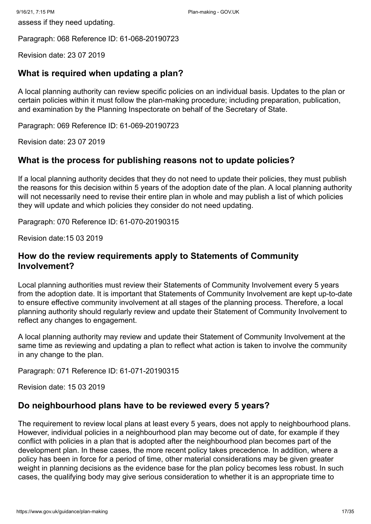Paragraph: 068 Reference ID: 61-068-20190723

Revision date: 23 07 2019

# **What is required when updating a plan?**

A local planning authority can review specific policies on an individual basis. Updates to the plan or certain policies within it must follow the plan-making procedure; including preparation, publication, and examination by the Planning Inspectorate on behalf of the Secretary of State.

Paragraph: 069 Reference ID: 61-069-20190723

Revision date: 23 07 2019

#### **What is the process for publishing reasons not to update policies?**

If a local planning authority decides that they do not need to update their policies, they must publish the reasons for this decision within 5 years of the adoption date of the plan. A local planning authority will not necessarily need to revise their entire plan in whole and may publish a list of which policies they will update and which policies they consider do not need updating.

Paragraph: 070 Reference ID: 61-070-20190315

Revision date:15 03 2019

#### **How do the review requirements apply to Statements of Community Involvement?**

Local planning authorities must review their Statements of Community Involvement every 5 years from the adoption date. It is important that Statements of Community Involvement are kept up-to-date to ensure effective community involvement at all stages of the planning process. Therefore, a local planning authority should regularly review and update their Statement of Community Involvement to reflect any changes to engagement.

A local planning authority may review and update their Statement of Community Involvement at the same time as reviewing and updating a plan to reflect what action is taken to involve the community in any change to the plan.

Paragraph: 071 Reference ID: 61-071-20190315

Revision date: 15 03 2019

#### **Do neighbourhood plans have to be reviewed every 5 years?**

The requirement to review local plans at least every 5 years, does not apply to neighbourhood plans. However, individual policies in a neighbourhood plan may become out of date, for example if they conflict with policies in a plan that is adopted after the neighbourhood plan becomes part of the development plan. In these cases, the more recent policy takes precedence. In addition, where a policy has been in force for a period of time, other material considerations may be given greater weight in planning decisions as the evidence base for the plan policy becomes less robust. In such cases, the qualifying body may give serious consideration to whether it is an appropriate time to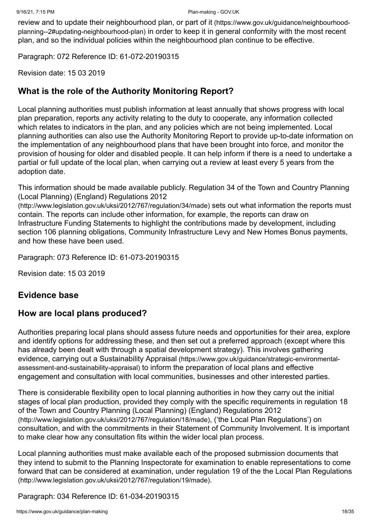review and to update their neighbourhood plan, or part of it (https://www.gov.uk/guidance/neighbourhoodplanning--2#updating-neighbourhood-plan) [in order to keep it in general conformity with the most recent](https://www.gov.uk/guidance/neighbourhood-planning--2#updating-neighbourhood-plan) plan, and so the individual policies within the neighbourhood plan continue to be effective.

Paragraph: 072 Reference ID: 61-072-20190315

Revision date: 15 03 2019

#### **What is the role of the Authority Monitoring Report?**

Local planning authorities must publish information at least annually that shows progress with local plan preparation, reports any activity relating to the duty to cooperate, any information collected which relates to indicators in the plan, and any policies which are not being implemented. Local planning authorities can also use the Authority Monitoring Report to provide up-to-date information on the implementation of any neighbourhood plans that have been brought into force, and monitor the provision of housing for older and disabled people. It can help inform if there is a need to undertake a partial or full update of the local plan, when carrying out a review at least every 5 years from the adoption date.

[This information should be made available publicly. Regulation 34 of the Town and Country Planning](http://www.legislation.gov.uk/uksi/2012/767/regulation/34/made) (Local Planning) (England) Regulations 2012

(http://www.legislation.gov.uk/uksi/2012/767/regulation/34/made) sets out what information the reports must contain. The reports can include other information, for example, the reports can draw on Infrastructure Funding Statements to highlight the contributions made by development, including section 106 planning obligations, Community Infrastructure Levy and New Homes Bonus payments, and how these have been used.

Paragraph: 073 Reference ID: 61-073-20190315

Revision date: 15 03 2019

#### <span id="page-17-0"></span>**Evidence base**

#### **How are local plans produced?**

Authorities preparing local plans should assess future needs and opportunities for their area, explore and identify options for addressing these, and then set out a preferred approach (except where this has already been dealt with through a spatial development strategy). This involves gathering evidence, carrying out a Sustainability Appraisal (https://www.gov.uk/guidance/strategic-environmentalassessment-and-sustainability-appraisal) [to inform the preparation of local plans and effective](https://www.gov.uk/guidance/strategic-environmental-assessment-and-sustainability-appraisal) engagement and consultation with local communities, businesses and other interested parties.

There is considerable flexibility open to local planning authorities in how they carry out the initial [stages of local plan production, provided they comply with the specific requirements in regulation 18](http://www.legislation.gov.uk/uksi/2012/767/regulation/18/made) of the Town and Country Planning (Local Planning) (England) Regulations 2012 (http://www.legislation.gov.uk/uksi/2012/767/regulation/18/made), ('the Local Plan Regulations') on consultation, and with the commitments in their Statement of Community Involvement. It is important to make clear how any consultation fits within the wider local plan process.

Local planning authorities must make available each of the proposed submission documents that they intend to submit to the Planning Inspectorate for examination to enable representations to come [forward that can be considered at examination, under regulation 19 of the the Local Plan Regulations](http://www.legislation.gov.uk/uksi/2012/767/regulation/19/made) (http://www.legislation.gov.uk/uksi/2012/767/regulation/19/made).

Paragraph: 034 Reference ID: 61-034-20190315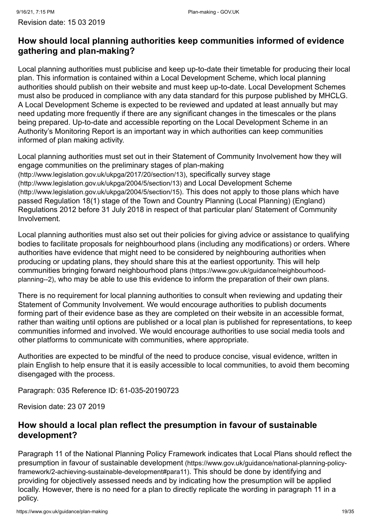# **How should local planning authorities keep communities informed of evidence gathering and plan-making?**

Local planning authorities must publicise and keep up-to-date their timetable for producing their local plan. This information is contained within a Local Development Scheme, which local planning authorities should publish on their website and must keep up-to-date. Local Development Schemes must also be produced in compliance with any data standard for this purpose published by MHCLG. A Local Development Scheme is expected to be reviewed and updated at least annually but may need updating more frequently if there are any significant changes in the timescales or the plans being prepared. Up-to-date and accessible reporting on the Local Development Scheme in an Authority's Monitoring Report is an important way in which authorities can keep communities informed of plan making activity.

Local planning authorities must set out in their Statement of Community Involvement how they will [engage communities on the preliminary stages of plan-making](http://www.legislation.gov.uk/ukpga/2017/20/section/13) [\(http://www.legislation.gov.uk/ukpga/2017/20/section/13\)](http://www.legislation.gov.uk/ukpga/2004/5/section/13), specifically survey stage [\(http://www.legislation.gov.uk/ukpga/2004/5/section/13\)](http://www.legislation.gov.uk/ukpga/2004/5/section/15) and Local Development Scheme (http://www.legislation.gov.uk/ukpga/2004/5/section/15). This does not apply to those plans which have passed Regulation 18(1) stage of the Town and Country Planning (Local Planning) (England) Regulations 2012 before 31 July 2018 in respect of that particular plan/ Statement of Community Involvement.

Local planning authorities must also set out their policies for giving advice or assistance to qualifying bodies to facilitate proposals for neighbourhood plans (including any modifications) or orders. Where authorities have evidence that might need to be considered by neighbouring authorities when producing or updating plans, they should share this at the earliest opportunity. This will help communities bringing forward neighbourhood plans (https://www.gov.uk/guidance/neighbourhoodplanning--2)[, who may be able to use this evidence to inform the preparation of their own plans](https://www.gov.uk/guidance/neighbourhood-planning--2).

There is no requirement for local planning authorities to consult when reviewing and updating their Statement of Community Involvement. We would encourage authorities to publish documents forming part of their evidence base as they are completed on their website in an accessible format, rather than waiting until options are published or a local plan is published for representations, to keep communities informed and involved. We would encourage authorities to use social media tools and other platforms to communicate with communities, where appropriate.

Authorities are expected to be mindful of the need to produce concise, visual evidence, written in plain English to help ensure that it is easily accessible to local communities, to avoid them becoming disengaged with the process.

Paragraph: 035 Reference ID: 61-035-20190723

Revision date: 23 07 2019

# **How should a local plan reflect the presumption in favour of sustainable development?**

Paragraph 11 of the National Planning Policy Framework indicates that Local Plans should reflect the [presumption in favour of sustainable development](https://www.gov.uk/guidance/national-planning-policy-framework/2-achieving-sustainable-development#para11) (https://www.gov.uk/guidance/national-planning-policyframework/2-achieving-sustainable-development#para11). This should be done by identifying and providing for objectively assessed needs and by indicating how the presumption will be applied locally. However, there is no need for a plan to directly replicate the wording in paragraph 11 in a policy.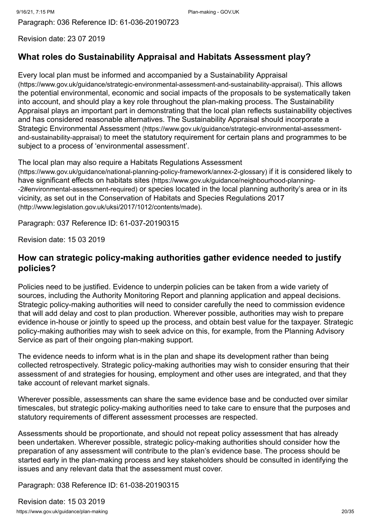Revision date: 23 07 2019

# **What roles do Sustainability Appraisal and Habitats Assessment play?**

[Every local plan must be informed and accompanied by a Sustainability Appraisal](https://www.gov.uk/guidance/strategic-environmental-assessment-and-sustainability-appraisal) (https://www.gov.uk/guidance/strategic-environmental-assessment-and-sustainability-appraisal). This allows the potential environmental, economic and social impacts of the proposals to be systematically taken into account, and should play a key role throughout the plan-making process. The Sustainability Appraisal plays an important part in demonstrating that the local plan reflects sustainability objectives and has considered reasonable alternatives. The Sustainability Appraisal should incorporate a Strategic Environmental Assessment (https://www.gov.uk/guidance/strategic-environmental-assessmentand-sustainability-appraisal) [to meet the statutory requirement for certain plans and programmes to b](https://www.gov.uk/guidance/strategic-environmental-assessment-and-sustainability-appraisal)e subject to a process of 'environmental assessment'.

The local plan may also require a Habitats Regulations Assessment

[\(https://www.gov.uk/guidance/national-planning-policy-framework/annex-2-glossary\)](https://www.gov.uk/guidance/national-planning-policy-framework/annex-2-glossary) if it is considered likely to have significant effects on habitats sites (https://www.gov.uk/guidance/neighbourhood-planning- -2#environmental-assessment-required) [or species located in the local planning authority's are](https://www.gov.uk/guidance/neighbourhood-planning--2#environmental-assessment-required)a or in its [vicinity, as set out in the Conservation of Habitats and Species Regulations 2017](http://www.legislation.gov.uk/uksi/2017/1012/contents/made) (http://www.legislation.gov.uk/uksi/2017/1012/contents/made).

Paragraph: 037 Reference ID: 61-037-20190315

Revision date: 15 03 2019

#### **How can strategic policy-making authorities gather evidence needed to justify policies?**

Policies need to be justified. Evidence to underpin policies can be taken from a wide variety of sources, including the Authority Monitoring Report and planning application and appeal decisions. Strategic policy-making authorities will need to consider carefully the need to commission evidence that will add delay and cost to plan production. Wherever possible, authorities may wish to prepare evidence in-house or jointly to speed up the process, and obtain best value for the taxpayer. Strategic policy-making authorities may wish to seek advice on this, for example, from the Planning Advisory Service as part of their ongoing plan-making support.

The evidence needs to inform what is in the plan and shape its development rather than being collected retrospectively. Strategic policy-making authorities may wish to consider ensuring that their assessment of and strategies for housing, employment and other uses are integrated, and that they take account of relevant market signals.

Wherever possible, assessments can share the same evidence base and be conducted over similar timescales, but strategic policy-making authorities need to take care to ensure that the purposes and statutory requirements of different assessment processes are respected.

Assessments should be proportionate, and should not repeat policy assessment that has already been undertaken. Wherever possible, strategic policy-making authorities should consider how the preparation of any assessment will contribute to the plan's evidence base. The process should be started early in the plan-making process and key stakeholders should be consulted in identifying the issues and any relevant data that the assessment must cover.

Paragraph: 038 Reference ID: 61-038-20190315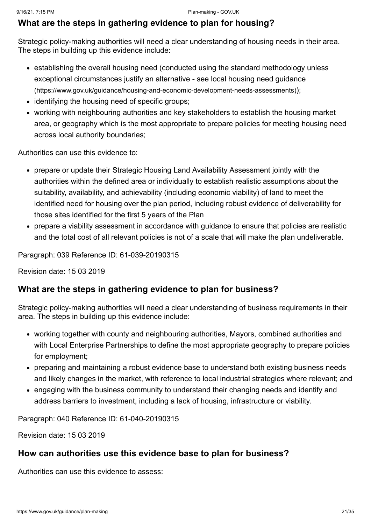#### **What are the steps in gathering evidence to plan for housing?**

Strategic policy-making authorities will need a clear understanding of housing needs in their area. The steps in building up this evidence include:

- establishing the overall housing need (conducted using the standard methodology unless [exceptional circumstances justify an alternative - see local housing need guidance](https://www.gov.uk/guidance/housing-and-economic-development-needs-assessments) (https://www.gov.uk/guidance/housing-and-economic-development-needs-assessments));
- identifying the housing need of specific groups;
- working with neighbouring authorities and key stakeholders to establish the housing market area, or geography which is the most appropriate to prepare policies for meeting housing need across local authority boundaries;

Authorities can use this evidence to:

- prepare or update their Strategic Housing Land Availability Assessment jointly with the authorities within the defined area or individually to establish realistic assumptions about the suitability, availability, and achievability (including economic viability) of land to meet the identified need for housing over the plan period, including robust evidence of deliverability for those sites identified for the first 5 years of the Plan
- prepare a viability assessment in accordance with guidance to ensure that policies are realistic and the total cost of all relevant policies is not of a scale that will make the plan undeliverable.

Paragraph: 039 Reference ID: 61-039-20190315

Revision date: 15 03 2019

#### **What are the steps in gathering evidence to plan for business?**

Strategic policy-making authorities will need a clear understanding of business requirements in their area. The steps in building up this evidence include:

- working together with county and neighbouring authorities, Mayors, combined authorities and with Local Enterprise Partnerships to define the most appropriate geography to prepare policies for employment;
- preparing and maintaining a robust evidence base to understand both existing business needs and likely changes in the market, with reference to local industrial strategies where relevant; and
- engaging with the business community to understand their changing needs and identify and address barriers to investment, including a lack of housing, infrastructure or viability.

Paragraph: 040 Reference ID: 61-040-20190315

Revision date: 15 03 2019

#### **How can authorities use this evidence base to plan for business?**

Authorities can use this evidence to assess: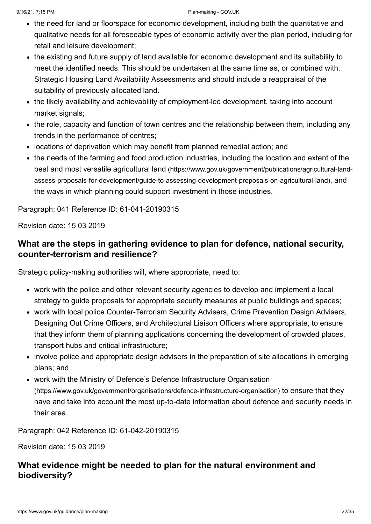- the need for land or floorspace for economic development, including both the quantitative and qualitative needs for all foreseeable types of economic activity over the plan period, including for retail and leisure development;
- the existing and future supply of land available for economic development and its suitability to meet the identified needs. This should be undertaken at the same time as, or combined with, Strategic Housing Land Availability Assessments and should include a reappraisal of the suitability of previously allocated land.
- the likely availability and achievability of employment-led development, taking into account market signals;
- the role, capacity and function of town centres and the relationship between them, including any trends in the performance of centres;
- locations of deprivation which may benefit from planned remedial action; and
- the needs of the farming and food production industries, including the location and extent of the best and most versatile agricultural land (https://www.gov.uk/government/publications/agricultural-land[assess-proposals-for-development/guide-to-assessing-development-proposals-on-agricultural-land\)](https://www.gov.uk/government/publications/agricultural-land-assess-proposals-for-development/guide-to-assessing-development-proposals-on-agricultural-land), and the ways in which planning could support investment in those industries.

Paragraph: 041 Reference ID: 61-041-20190315

Revision date: 15 03 2019

# **What are the steps in gathering evidence to plan for defence, national security, counter-terrorism and resilience?**

Strategic policy-making authorities will, where appropriate, need to:

- work with the police and other relevant security agencies to develop and implement a local strategy to guide proposals for appropriate security measures at public buildings and spaces;
- work with local police Counter-Terrorism Security Advisers, Crime Prevention Design Advisers, Designing Out Crime Officers, and Architectural Liaison Officers where appropriate, to ensure that they inform them of planning applications concerning the development of crowded places, transport hubs and critical infrastructure;
- involve police and appropriate design advisers in the preparation of site allocations in emerging plans; and
- [work with the Ministry of Defence's Defence Infrastructure Organisation](https://www.gov.uk/government/organisations/defence-infrastructure-organisation) (https://www.gov.uk/government/organisations/defence-infrastructure-organisation) to ensure that they have and take into account the most up-to-date information about defence and security needs in their area.

Paragraph: 042 Reference ID: 61-042-20190315

Revision date: 15 03 2019

# **What evidence might be needed to plan for the natural environment and biodiversity?**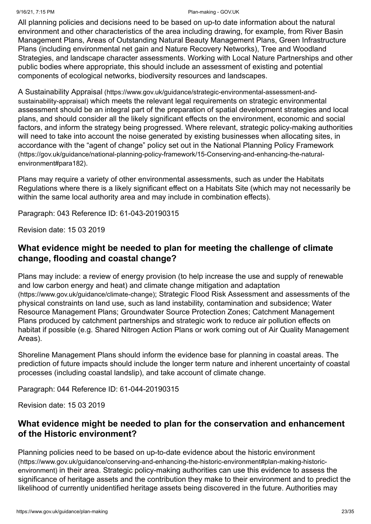#### 9/16/21, 7:15 PM Plan-making - GOV.UK

All planning policies and decisions need to be based on up-to date information about the natural environment and other characteristics of the area including drawing, for example, from River Basin Management Plans, Areas of Outstanding Natural Beauty Management Plans, Green Infrastructure Plans (including environmental net gain and Nature Recovery Networks), Tree and Woodland Strategies, and landscape character assessments. Working with Local Nature Partnerships and other public bodies where appropriate, this should include an assessment of existing and potential components of ecological networks, biodiversity resources and landscapes.

A Sustainability Appraisal (https://www.gov.uk/guidance/strategic-environmental-assessment-andsustainability-appraisal) [which meets the relevant legal requirements on strategic environmen](https://www.gov.uk/guidance/strategic-environmental-assessment-and-sustainability-appraisal)tal assessment should be an integral part of the preparation of spatial development strategies and local plans, and should consider all the likely significant effects on the environment, economic and social factors, and inform the strategy being progressed. Where relevant, strategic policy-making authorities will need to take into account the noise generated by existing businesses when allocating sites, in [accordance with the "agent of change" policy set out in the National Planning Policy Framework](https://gov.uk/guidance/national-planning-policy-framework/15-Conserving-and-enhancing-the-natural-environment#para182) (https://gov.uk/guidance/national-planning-policy-framework/15-Conserving-and-enhancing-the-naturalenvironment#para182).

Plans may require a variety of other environmental assessments, such as under the Habitats Regulations where there is a likely significant effect on a Habitats Site (which may not necessarily be within the same local authority area and may include in combination effects).

Paragraph: 043 Reference ID: 61-043-20190315

Revision date: 15 03 2019

# **What evidence might be needed to plan for meeting the challenge of climate change, flooding and coastal change?**

Plans may include: a review of energy provision (to help increase the use and supply of renewable [and low carbon energy and heat\) and climate change mitigation and adaptation](https://www.gov.uk/guidance/climate-change) (https://www.gov.uk/guidance/climate-change); Strategic Flood Risk Assessment and assessments of the physical constraints on land use, such as land instability, contamination and subsidence; Water Resource Management Plans; Groundwater Source Protection Zones; Catchment Management Plans produced by catchment partnerships and strategic work to reduce air pollution effects on habitat if possible (e.g. Shared Nitrogen Action Plans or work coming out of Air Quality Management Areas).

Shoreline Management Plans should inform the evidence base for planning in coastal areas. The prediction of future impacts should include the longer term nature and inherent uncertainty of coastal processes (including coastal landslip), and take account of climate change.

Paragraph: 044 Reference ID: 61-044-20190315

Revision date: 15 03 2019

# **What evidence might be needed to plan for the conservation and enhancement of the Historic environment?**

[Planning policies need to be based on up-to-date evidence about the historic environment](https://www.gov.uk/guidance/conserving-and-enhancing-the-historic-environment#plan-making-historic-environment) (https://www.gov.uk/guidance/conserving-and-enhancing-the-historic-environment#plan-making-historicenvironment) in their area. Strategic policy-making authorities can use this evidence to assess the significance of heritage assets and the contribution they make to their environment and to predict the likelihood of currently unidentified heritage assets being discovered in the future. Authorities may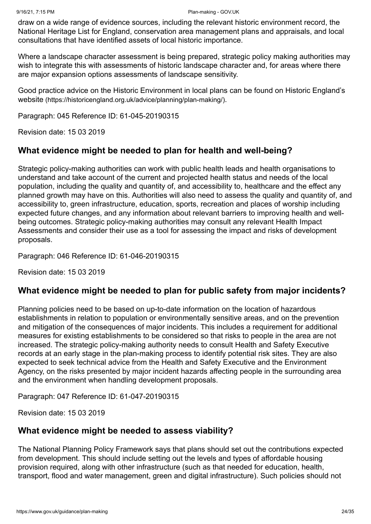draw on a wide range of evidence sources, including the relevant historic environment record, the National Heritage List for England, conservation area management plans and appraisals, and local consultations that have identified assets of local historic importance.

Where a landscape character assessment is being prepared, strategic policy making authorities may wish to integrate this with assessments of historic landscape character and, for areas where there are major expansion options assessments of landscape sensitivity.

[Good practice advice on the Historic Environment in local plans can be found on Historic England's](https://historicengland.org.uk/advice/planning/plan-making/) website (https://historicengland.org.uk/advice/planning/plan-making/).

Paragraph: 045 Reference ID: 61-045-20190315

Revision date: 15 03 2019

#### **What evidence might be needed to plan for health and well-being?**

Strategic policy-making authorities can work with public health leads and health organisations to understand and take account of the current and projected health status and needs of the local population, including the quality and quantity of, and accessibility to, healthcare and the effect any planned growth may have on this. Authorities will also need to assess the quality and quantity of, and accessibility to, green infrastructure, education, sports, recreation and places of worship including expected future changes, and any information about relevant barriers to improving health and wellbeing outcomes. Strategic policy-making authorities may consult any relevant Health Impact Assessments and consider their use as a tool for assessing the impact and risks of development proposals.

Paragraph: 046 Reference ID: 61-046-20190315

Revision date: 15 03 2019

#### **What evidence might be needed to plan for public safety from major incidents?**

Planning policies need to be based on up-to-date information on the location of hazardous establishments in relation to population or environmentally sensitive areas, and on the prevention and mitigation of the consequences of major incidents. This includes a requirement for additional measures for existing establishments to be considered so that risks to people in the area are not increased. The strategic policy-making authority needs to consult Health and Safety Executive records at an early stage in the plan-making process to identify potential risk sites. They are also expected to seek technical advice from the Health and Safety Executive and the Environment Agency, on the risks presented by major incident hazards affecting people in the surrounding area and the environment when handling development proposals.

Paragraph: 047 Reference ID: 61-047-20190315

Revision date: 15 03 2019

#### **What evidence might be needed to assess viability?**

The National Planning Policy Framework says that plans should set out the contributions expected from development. This should include setting out the levels and types of affordable housing provision required, along with other infrastructure (such as that needed for education, health, transport, flood and water management, green and digital infrastructure). Such policies should not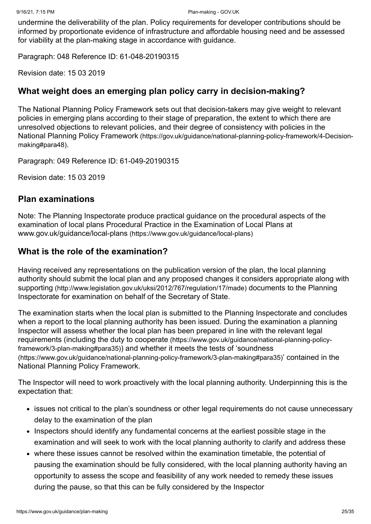undermine the deliverability of the plan. Policy requirements for developer contributions should be informed by proportionate evidence of infrastructure and affordable housing need and be assessed for viability at the plan-making stage in accordance with guidance.

Paragraph: 048 Reference ID: 61-048-20190315

Revision date: 15 03 2019

#### **What weight does an emerging plan policy carry in decision-making?**

The National Planning Policy Framework sets out that decision-takers may give weight to relevant policies in emerging plans according to their stage of preparation, the extent to which there are unresolved objections to relevant policies, and their degree of consistency with policies in the National Planning Policy Framework [\(https://gov.uk/guidance/national-planning-policy-framework/4-Decision](https://gov.uk/guidance/national-planning-policy-framework/4-Decision-making#para48)making#para48).

Paragraph: 049 Reference ID: 61-049-20190315

Revision date: 15 03 2019

#### <span id="page-24-0"></span>**Plan examinations**

Note: The Planning Inspectorate produce practical guidance on the procedural aspects of the examination of local plans Procedural Practice in the Examination of Local Plans at www.gov.uk/guidance/local-plans [\(https://www.gov.uk/guidance/local-plans\)](https://www.gov.uk/guidance/local-plans)

#### **What is the role of the examination?**

Having received any representations on the publication version of the plan, the local planning authority should submit the local plan and any proposed changes it considers appropriate along with supporting [\(http://www.legislation.gov.uk/uksi/2012/767/regulation/17/made\)](http://www.legislation.gov.uk/uksi/2012/767/regulation/17/made) documents to the Planning Inspectorate for examination on behalf of the Secretary of State.

The examination starts when the local plan is submitted to the Planning Inspectorate and concludes when a report to the local planning authority has been issued. During the examination a planning Inspector will assess whether the local plan has been prepared in line with the relevant legal [requirements \(including the duty to cooperate](https://www.gov.uk/guidance/national-planning-policy-framework/3-plan-making#para35) (https://www.gov.uk/guidance/national-planning-policyframework/3-plan-making#para35)) and whether it meets the tests of 'soundness [\(https://www.gov.uk/guidance/national-planning-policy-framework/3-plan-making#para35\)](https://www.gov.uk/guidance/national-planning-policy-framework/3-plan-making#para35)' contained in the National Planning Policy Framework.

The Inspector will need to work proactively with the local planning authority. Underpinning this is the expectation that:

- issues not critical to the plan's soundness or other legal requirements do not cause unnecessary delay to the examination of the plan
- Inspectors should identify any fundamental concerns at the earliest possible stage in the examination and will seek to work with the local planning authority to clarify and address these
- where these issues cannot be resolved within the examination timetable, the potential of pausing the examination should be fully considered, with the local planning authority having an opportunity to assess the scope and feasibility of any work needed to remedy these issues during the pause, so that this can be fully considered by the Inspector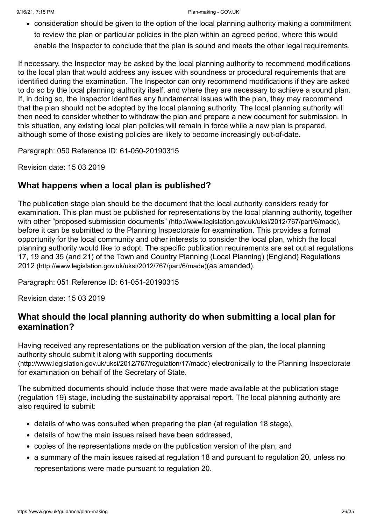consideration should be given to the option of the local planning authority making a commitment to review the plan or particular policies in the plan within an agreed period, where this would enable the Inspector to conclude that the plan is sound and meets the other legal requirements.

If necessary, the Inspector may be asked by the local planning authority to recommend [modifications](#page-27-0) to the local plan that would address any issues with soundness or procedural requirements that are identified during the examination. The Inspector can only recommend modifications if they are asked to do so by the local planning authority itself, and where they are necessary to achieve a sound plan. If, in doing so, the Inspector identifies any fundamental issues with the plan, they may recommend that the plan should not be adopted by the local planning authority. The local planning authority will then need to consider whether to withdraw the plan and prepare a new document for submission. In this situation, any existing local plan policies will remain in force while a new plan is prepared, although some of those existing policies are likely to become increasingly out-of-date.

Paragraph: 050 Reference ID: 61-050-20190315

Revision date: 15 03 2019

#### **What happens when a local plan is published?**

The publication stage plan should be the document that the local authority considers ready for examination. This plan must be published for representations by the local planning authority, together with other "proposed submission documents" [\(http://www.legislation.gov.uk/uksi/2012/767/part/6/made\)](http://www.legislation.gov.uk/uksi/2012/767/part/6/made). before it can be submitted to the Planning Inspectorate for examination. This provides a formal opportunity for the local community and other interests to consider the local plan, which the local [planning authority would like to adopt. The specific publication requirements are set out at regulations](http://www.legislation.gov.uk/uksi/2012/767/part/6/made) 17, 19 and 35 (and 21) of the Town and Country Planning (Local Planning) (England) Regulations 2012 (http://www.legislation.gov.uk/uksi/2012/767/part/6/made)(as amended).

Paragraph: 051 Reference ID: 61-051-20190315

Revision date: 15 03 2019

#### **What should the local planning authority do when submitting a local plan for examination?**

Having received any representations on the publication version of the plan, the local planning [authority should submit it along with supporting documents](http://www.legislation.gov.uk/uksi/2012/767/regulation/17/made) (http://www.legislation.gov.uk/uksi/2012/767/regulation/17/made) electronically to the Planning Inspectorate for examination on behalf of the Secretary of State.

The submitted documents should include those that were made available at the publication stage (regulation 19) stage, including the sustainability appraisal report. The local planning authority are also required to submit:

- details of who was consulted when preparing the plan (at regulation 18 stage),
- details of how the main issues raised have been addressed,
- copies of the representations made on the publication version of the plan; and
- a summary of the main issues raised at regulation 18 and pursuant to regulation 20, unless no representations were made pursuant to regulation 20.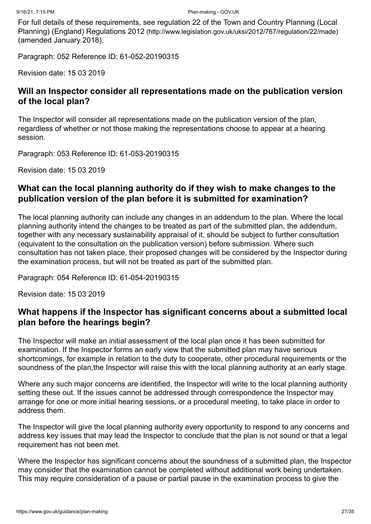[For full details of these requirements, see regulation 22 of the Town and Country Planning \(Local](http://www.legislation.gov.uk/uksi/2012/767/regulation/22/made) Planning) (England) Regulations 2012 (http://www.legislation.gov.uk/uksi/2012/767/regulation/22/made) (amended January 2018).

Paragraph: 052 Reference ID: 61-052-20190315

Revision date: 15 03 2019

#### **Will an Inspector consider all representations made on the publication version of the local plan?**

The Inspector will consider all representations made on the publication version of the plan, regardless of whether or not those making the representations choose to appear at a hearing session.

Paragraph: 053 Reference ID: 61-053-20190315

Revision date: 15 03 2019

#### **What can the local planning authority do if they wish to make changes to the publication version of the plan before it is submitted for examination?**

The local planning authority can include any changes in an addendum to the plan. Where the local planning authority intend the changes to be treated as part of the submitted plan, the addendum, together with any necessary sustainability appraisal of it, should be subject to further consultation (equivalent to the consultation on the publication version) before submission. Where such consultation has not taken place, their proposed changes will be considered by the Inspector during the examination process, but will not be treated as part of the submitted plan.

Paragraph: 054 Reference ID: 61-054-20190315

Revision date: 15 03 2019

# **What happens if the Inspector has significant concerns about a submitted local plan before the hearings begin?**

The Inspector will make an initial assessment of the local plan once it has been submitted for examination. If the Inspector forms an early view that the submitted plan may have serious shortcomings, for example in relation to the duty to cooperate, other procedural requirements or the soundness of the plan,the Inspector will raise this with the local planning authority at an early stage.

Where any such major concerns are identified, the Inspector will write to the local planning authority setting these out. If the issues cannot be addressed through correspondence the Inspector may arrange for one or more initial hearing sessions, or a procedural meeting, to take place in order to address them.

The Inspector will give the local planning authority every opportunity to respond to any concerns and address key issues that may lead the Inspector to conclude that the plan is not sound or that a legal requirement has not been met.

Where the Inspector has significant concerns about the soundness of a submitted plan, the Inspector may consider that the examination cannot be completed without additional work being undertaken. This may require consideration of a pause or partial pause in the examination process to give the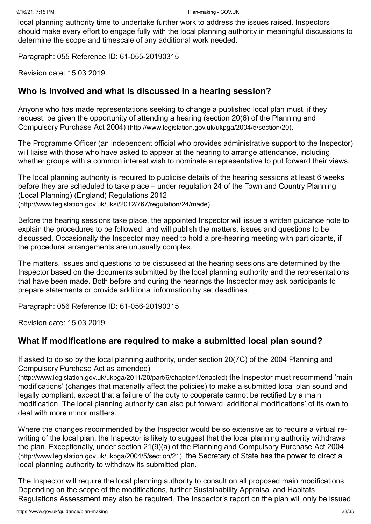local planning authority time to undertake further work to address the issues raised. Inspectors should make every effort to engage fully with the local planning authority in meaningful discussions to determine the scope and timescale of any additional work needed.

Paragraph: 055 Reference ID: 61-055-20190315

Revision date: 15 03 2019

#### **Who is involved and what is discussed in a hearing session?**

Anyone who has made representations seeking to change a published local plan must, if they [request, be given the opportunity of attending a hearing \(section 20\(6\) of the Planning and](http://www.legislation.gov.uk/ukpga/2004/5/section/20) Compulsory Purchase Act 2004) (http://www.legislation.gov.uk/ukpga/2004/5/section/20).

The Programme Officer (an independent official who provides administrative support to the Inspector) will liaise with those who have asked to appear at the hearing to arrange attendance, including whether groups with a common interest wish to nominate a representative to put forward their views.

The local planning authority is required to publicise details of the hearing sessions at least 6 weeks [before they are scheduled to take place – under regulation 24 of the Town and Country Planning](http://www.legislation.gov.uk/uksi/2012/767/regulation/24/made) (Local Planning) (England) Regulations 2012 (http://www.legislation.gov.uk/uksi/2012/767/regulation/24/made).

Before the hearing sessions take place, the appointed Inspector will issue a written guidance note to explain the procedures to be followed, and will publish the matters, issues and questions to be discussed. Occasionally the Inspector may need to hold a pre-hearing meeting with participants, if the procedural arrangements are unusually complex.

The matters, issues and questions to be discussed at the hearing sessions are determined by the Inspector based on the documents submitted by the local planning authority and the representations that have been made. Both before and during the hearings the Inspector may ask participants to prepare statements or provide additional information by set deadlines.

Paragraph: 056 Reference ID: 61-056-20190315

Revision date: 15 03 2019

#### <span id="page-27-0"></span>**What if modifications are required to make a submitted local plan sound?**

[If asked to do so by the local planning authority, under section 20\(7C\) of the 2004 Planning and](http://www.legislation.gov.uk/ukpga/2011/20/part/6/chapter/1/enacted) Compulsory Purchase Act as amended)

(http://www.legislation.gov.uk/ukpga/2011/20/part/6/chapter/1/enacted) the Inspector must recommend 'main modifications' (changes that materially affect the policies) to make a submitted local plan sound and legally compliant, except that a failure of the duty to cooperate cannot be rectified by a main modification. The local planning authority can also put forward 'additional modifications' of its own to deal with more minor matters.

Where the changes recommended by the Inspector would be so extensive as to require a virtual rewriting of the local plan, the Inspector is likely to suggest that the local planning authority withdraws [the plan. Exceptionally, under section 21\(9\)\(a\) of the Planning and Compulsory Purchase Act 2004](http://www.legislation.gov.uk/ukpga/2004/5/section/21) (http://www.legislation.gov.uk/ukpga/2004/5/section/21), the Secretary of State has the power to direct a local planning authority to withdraw its submitted plan.

The Inspector will require the local planning authority to consult on all proposed main modifications. Depending on the scope of the modifications, further Sustainability Appraisal and Habitats Regulations Assessment may also be required. The Inspector's report on the plan will only be issued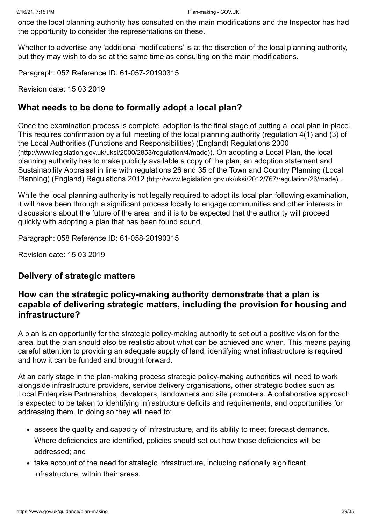once the local planning authority has consulted on the main modifications and the Inspector has had the opportunity to consider the representations on these.

Whether to advertise any 'additional modifications' is at the discretion of the local planning authority, but they may wish to do so at the same time as consulting on the main modifications.

Paragraph: 057 Reference ID: 61-057-20190315

Revision date: 15 03 2019

#### **What needs to be done to formally adopt a local plan?**

Once the examination process is complete, adoption is the final stage of putting a local plan in place. [This requires confirmation by a full meeting of the local planning authority \(regulation 4\(1\) and \(3\) of](http://www.legislation.gov.uk/uksi/2000/2853/regulation/4/made) the Local Authorities (Functions and Responsibilities) (England) Regulations 2000 (http://www.legislation.gov.uk/uksi/2000/2853/regulation/4/made)). On adopting a Local Plan, the local planning authority has to make publicly available a copy of the plan, an adoption statement and [Sustainability Appraisal in line with regulations 26 and 35 of the Town and Country Planning \(Local](http://www.legislation.gov.uk/uksi/2012/767/regulation/26/made) Planning) (England) Regulations 2012 (http://www.legislation.gov.uk/uksi/2012/767/regulation/26/made) .

While the local planning authority is not legally required to adopt its local plan following examination, it will have been through a significant process locally to engage communities and other interests in discussions about the future of the area, and it is to be expected that the authority will proceed quickly with adopting a plan that has been found sound.

Paragraph: 058 Reference ID: 61-058-20190315

Revision date: 15 03 2019

#### <span id="page-28-0"></span>**Delivery of strategic matters**

#### **How can the strategic policy-making authority demonstrate that a plan is capable of delivering strategic matters, including the provision for housing and infrastructure?**

A plan is an opportunity for the strategic policy-making authority to set out a positive vision for the area, but the plan should also be realistic about what can be achieved and when. This means paying careful attention to providing an adequate supply of land, identifying what infrastructure is required and how it can be funded and brought forward.

At an early stage in the plan-making process strategic policy-making authorities will need to work alongside infrastructure providers, service delivery organisations, other strategic bodies such as Local Enterprise Partnerships, developers, landowners and site promoters. A collaborative approach is expected to be taken to identifying infrastructure deficits and requirements, and opportunities for addressing them. In doing so they will need to:

- assess the quality and capacity of infrastructure, and its ability to meet forecast demands. Where deficiencies are identified, policies should set out how those deficiencies will be addressed; and
- take account of the need for strategic infrastructure, including nationally significant infrastructure, within their areas.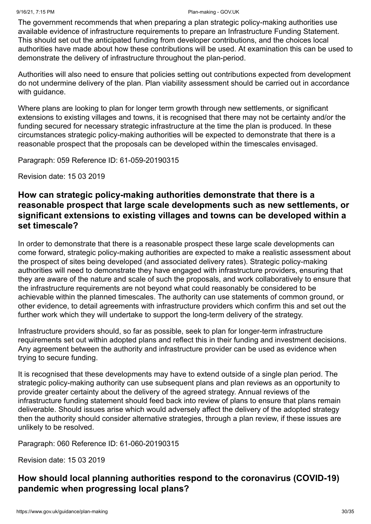The government recommends that when preparing a plan strategic policy-making authorities use available evidence of infrastructure requirements to prepare an Infrastructure Funding Statement. This should set out the anticipated funding from developer contributions, and the choices local authorities have made about how these contributions will be used. At examination this can be used to demonstrate the delivery of infrastructure throughout the plan-period.

Authorities will also need to ensure that policies setting out contributions expected from development do not undermine delivery of the plan. Plan viability assessment should be carried out in accordance with guidance.

Where plans are looking to plan for longer term growth through new settlements, or significant extensions to existing villages and towns, it is recognised that there may not be certainty and/or the funding secured for necessary strategic infrastructure at the time the plan is produced. In these circumstances strategic policy-making authorities will be expected to demonstrate that there is a reasonable prospect that the proposals can be developed within the timescales envisaged.

Paragraph: 059 Reference ID: 61-059-20190315

Revision date: 15 03 2019

#### **How can strategic policy-making authorities demonstrate that there is a reasonable prospect that large scale developments such as new settlements, or significant extensions to existing villages and towns can be developed within a set timescale?**

In order to demonstrate that there is a reasonable prospect these large scale developments can come forward, strategic policy-making authorities are expected to make a realistic assessment about the prospect of sites being developed (and associated delivery rates). Strategic policy-making authorities will need to demonstrate they have engaged with infrastructure providers, ensuring that they are aware of the nature and scale of such the proposals, and work collaboratively to ensure that the infrastructure requirements are not beyond what could reasonably be considered to be achievable within the planned timescales. The authority can use statements of common ground, or other evidence, to detail agreements with infrastructure providers which confirm this and set out the further work which they will undertake to support the long-term delivery of the strategy.

Infrastructure providers should, so far as possible, seek to plan for longer-term infrastructure requirements set out within adopted plans and reflect this in their funding and investment decisions. Any agreement between the authority and infrastructure provider can be used as evidence when trying to secure funding.

It is recognised that these developments may have to extend outside of a single plan period. The strategic policy-making authority can use subsequent plans and plan reviews as an opportunity to provide greater certainty about the delivery of the agreed strategy. Annual reviews of the infrastructure funding statement should feed back into review of plans to ensure that plans remain deliverable. Should issues arise which would adversely affect the delivery of the adopted strategy then the authority should consider alternative strategies, through a plan review, if these issues are unlikely to be resolved.

Paragraph: 060 Reference ID: 61-060-20190315

Revision date: 15 03 2019

# <span id="page-29-0"></span>**How should local planning authorities respond to the coronavirus (COVID-19) pandemic when progressing local plans?**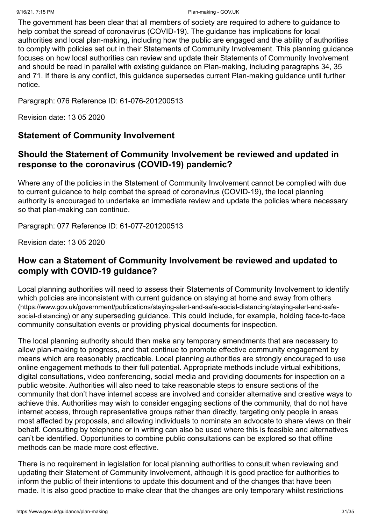The government has been clear that all members of society are required to adhere to guidance to help combat the spread of coronavirus (COVID-19). The guidance has implications for local authorities and local plan-making, including how the public are engaged and the ability of authorities to comply with policies set out in their Statements of Community Involvement. This planning guidance focuses on how local authorities can review and update their Statements of Community Involvement and should be read in parallel with existing guidance on Plan-making, including paragraphs 34, 35 and 71. If there is any conflict, this guidance supersedes current Plan-making guidance until further notice.

Paragraph: 076 Reference ID: 61-076-201200513

Revision date: 13 05 2020

#### **Statement of Community Involvement**

#### **Should the Statement of Community Involvement be reviewed and updated in response to the coronavirus (COVID-19) pandemic?**

Where any of the policies in the Statement of Community Involvement cannot be complied with due to current guidance to help combat the spread of coronavirus (COVID-19), the local planning authority is encouraged to undertake an immediate review and update the policies where necessary so that plan-making can continue.

Paragraph: 077 Reference ID: 61-077-201200513

Revision date: 13 05 2020

#### **How can a Statement of Community Involvement be reviewed and updated to comply with COVID-19 guidance?**

Local planning authorities will need to assess their Statements of Community Involvement to identify [which policies are inconsistent with current guidance on staying at home and away from others](https://www.gov.uk/government/publications/staying-alert-and-safe-social-distancing/staying-alert-and-safe-social-distancing) (https://www.gov.uk/government/publications/staying-alert-and-safe-social-distancing/staying-alert-and-safesocial-distancing) or any superseding guidance. This could include, for example, holding face-to-face community consultation events or providing physical documents for inspection.

The local planning authority should then make any temporary amendments that are necessary to allow plan-making to progress, and that continue to promote effective community engagement by means which are reasonably practicable. Local planning authorities are strongly encouraged to use online engagement methods to their full potential. Appropriate methods include virtual exhibitions, digital consultations, video conferencing, social media and providing documents for inspection on a public website. Authorities will also need to take reasonable steps to ensure sections of the community that don't have internet access are involved and consider alternative and creative ways to achieve this. Authorities may wish to consider engaging sections of the community, that do not have internet access, through representative groups rather than directly, targeting only people in areas most affected by proposals, and allowing individuals to nominate an advocate to share views on their behalf. Consulting by telephone or in writing can also be used where this is feasible and alternatives can't be identified. Opportunities to combine public consultations can be explored so that offline methods can be made more cost effective.

There is no requirement in legislation for local planning authorities to consult when reviewing and updating their Statement of Community Involvement, although it is good practice for authorities to inform the public of their intentions to update this document and of the changes that have been made. It is also good practice to make clear that the changes are only temporary whilst restrictions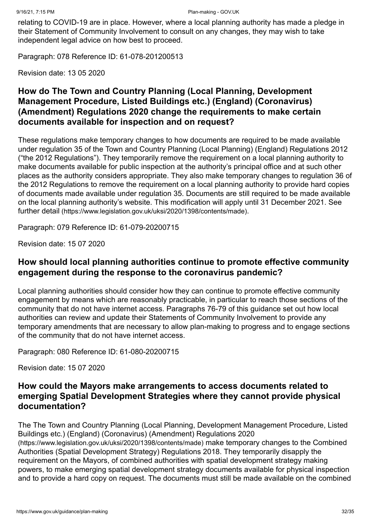relating to COVID-19 are in place. However, where a local planning authority has made a pledge in their Statement of Community Involvement to consult on any changes, they may wish to take independent legal advice on how best to proceed.

Paragraph: 078 Reference ID: 61-078-201200513

Revision date: 13 05 2020

# **How do The Town and Country Planning (Local Planning, Development Management Procedure, Listed Buildings etc.) (England) (Coronavirus) (Amendment) Regulations 2020 change the requirements to make certain documents available for inspection and on request?**

These regulations make temporary changes to how documents are required to be made available under regulation 35 of the Town and Country Planning (Local Planning) (England) Regulations 2012 ("the 2012 Regulations"). They temporarily remove the requirement on a local planning authority to make documents available for public inspection at the authority's principal office and at such other places as the authority considers appropriate. They also make temporary changes to regulation 36 of the 2012 Regulations to remove the requirement on a local planning authority to provide hard copies of documents made available under regulation 35. Documents are still required to be made available on the local planning authority's website. This modification will apply until 31 December 2021. See further detail [\(https://www.legislation.gov.uk/uksi/2020/1398/contents/made\)](https://www.legislation.gov.uk/uksi/2020/1398/contents/made).

Paragraph: 079 Reference ID: 61-079-20200715

Revision date: 15 07 2020

#### **How should local planning authorities continue to promote effective community engagement during the response to the coronavirus pandemic?**

Local planning authorities should consider how they can continue to promote effective community engagement by means which are reasonably practicable, in particular to reach those sections of the community that do not have internet access. Paragraphs 76-79 of this guidance set out how local authorities can review and update their Statements of Community Involvement to provide any temporary amendments that are necessary to allow plan-making to progress and to engage sections of the community that do not have internet access.

Paragraph: 080 Reference ID: 61-080-20200715

Revision date: 15 07 2020

#### **How could the Mayors make arrangements to access documents related to emerging Spatial Development Strategies where they cannot provide physical documentation?**

[The The Town and Country Planning \(Local Planning, Development Management Procedure, Listed](https://www.legislation.gov.uk/uksi/2020/1398/contents/made) Buildings etc.) (England) (Coronavirus) (Amendment) Regulations 2020 (https://www.legislation.gov.uk/uksi/2020/1398/contents/made) make temporary changes to the Combined Authorities (Spatial Development Strategy) Regulations 2018. They temporarily disapply the requirement on the Mayors, of combined authorities with spatial development strategy making powers, to make emerging spatial development strategy documents available for physical inspection and to provide a hard copy on request. The documents must still be made available on the combined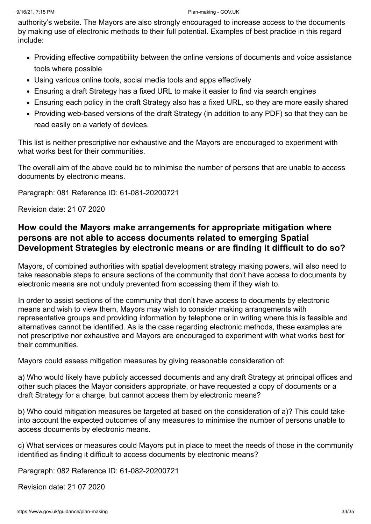authority's website. The Mayors are also strongly encouraged to increase access to the documents by making use of electronic methods to their full potential. Examples of best practice in this regard include:

- Providing effective compatibility between the online versions of documents and voice assistance tools where possible
- Using various online tools, social media tools and apps effectively
- Ensuring a draft Strategy has a fixed URL to make it easier to find via search engines
- Ensuring each policy in the draft Strategy also has a fixed URL, so they are more easily shared
- Providing web-based versions of the draft Strategy (in addition to any PDF) so that they can be read easily on a variety of devices.

This list is neither prescriptive nor exhaustive and the Mayors are encouraged to experiment with what works best for their communities.

The overall aim of the above could be to minimise the number of persons that are unable to access documents by electronic means.

Paragraph: 081 Reference ID: 61-081-20200721

Revision date: 21 07 2020

#### **How could the Mayors make arrangements for appropriate mitigation where persons are not able to access documents related to emerging Spatial Development Strategies by electronic means or are finding it difficult to do so?**

Mayors, of combined authorities with spatial development strategy making powers, will also need to take reasonable steps to ensure sections of the community that don't have access to documents by electronic means are not unduly prevented from accessing them if they wish to.

In order to assist sections of the community that don't have access to documents by electronic means and wish to view them, Mayors may wish to consider making arrangements with representative groups and providing information by telephone or in writing where this is feasible and alternatives cannot be identified. As is the case regarding electronic methods, these examples are not prescriptive nor exhaustive and Mayors are encouraged to experiment with what works best for their communities.

Mayors could assess mitigation measures by giving reasonable consideration of:

a) Who would likely have publicly accessed documents and any draft Strategy at principal offices and other such places the Mayor considers appropriate, or have requested a copy of documents or a draft Strategy for a charge, but cannot access them by electronic means?

b) Who could mitigation measures be targeted at based on the consideration of a)? This could take into account the expected outcomes of any measures to minimise the number of persons unable to access documents by electronic means.

c) What services or measures could Mayors put in place to meet the needs of those in the community identified as finding it difficult to access documents by electronic means?

Paragraph: 082 Reference ID: 61-082-20200721

Revision date: 21 07 2020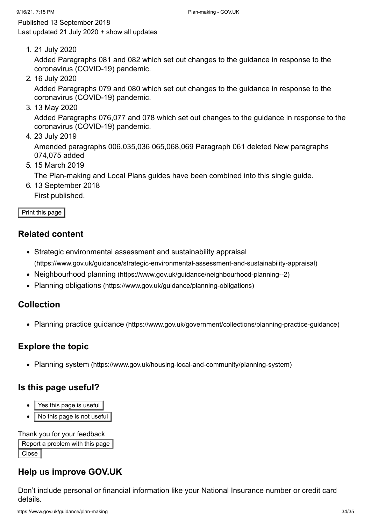<span id="page-33-0"></span>Published 13 September 2018 Last updated 21 July 2020 + show all [updates](#page-33-1)

<span id="page-33-1"></span>1. 21 July 2020

Added Paragraphs 081 and 082 which set out changes to the guidance in response to the coronavirus (COVID-19) pandemic.

2. 16 July 2020

Added Paragraphs 079 and 080 which set out changes to the guidance in response to the coronavirus (COVID-19) pandemic.

3. 13 May 2020

Added Paragraphs 076,077 and 078 which set out changes to the guidance in response to the coronavirus (COVID-19) pandemic.

4. 23 July 2019

Amended paragraphs 006,035,036 065,068,069 Paragraph 061 deleted New paragraphs 074,075 added

5. 15 March 2019

The Plan-making and Local Plans guides have been combined into this single guide.

6. 13 September 2018

First published.

Print this page

#### **Related content**

- Strategic environmental assessment and sustainability appraisal [\(https://www.gov.uk/guidance/strategic-environmental-assessment-and-sustainability-appraisal\)](https://www.gov.uk/guidance/strategic-environmental-assessment-and-sustainability-appraisal)
- Neighbourhood planning [\(https://www.gov.uk/guidance/neighbourhood-planning--2\)](https://www.gov.uk/guidance/neighbourhood-planning--2)
- Planning obligations [\(https://www.gov.uk/guidance/planning-obligations\)](https://www.gov.uk/guidance/planning-obligations)

#### **Collection**

• Planning practice guidance [\(https://www.gov.uk/government/collections/planning-practice-guidance\)](https://www.gov.uk/government/collections/planning-practice-guidance)

#### **Explore the topic**

• Planning system [\(https://www.gov.uk/housing-local-and-community/planning-system\)](https://www.gov.uk/housing-local-and-community/planning-system)

#### **Is this page useful?**

- Yes this page is useful
- No this page is not useful

#### Thank you for your feedback

```
Report a problem with this page
Close
```
# **Help us improve GOV.UK**

Don't include personal or financial information like your National Insurance number or credit card details.